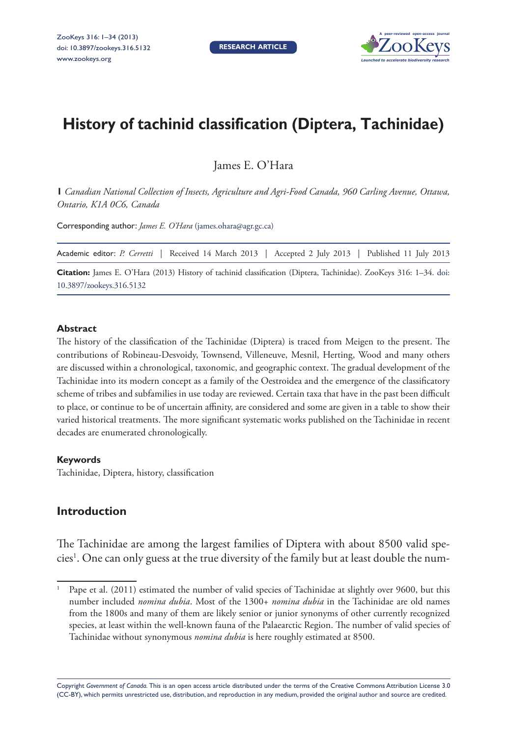

# **History of tachinid classification (Diptera, Tachinidae)**

James E. O'Hara

**1** *Canadian National Collection of Insects, Agriculture and Agri-Food Canada, 960 Carling Avenue, Ottawa, Ontario, K1A 0C6, Canada*

Corresponding author: *James E. O'Hara* [\(james.ohara@agr.gc.ca](mailto:james.ohara@agr.gc.ca))

Academic editor: *P. Cerretti* | Received 14 March 2013 | Accepted 2 July 2013 | Published 11 July 2013

**Citation:** James E. O'Hara (2013) History of tachinid classification (Diptera, Tachinidae). ZooKeys 316: 1–34. [doi:](http://dx.doi.org/10.3897/zookeys.316.5132) [10.3897/zookeys.316.5132](http://dx.doi.org/10.3897/zookeys.316.5132)

#### **Abstract**

The history of the classification of the Tachinidae (Diptera) is traced from Meigen to the present. The contributions of Robineau-Desvoidy, Townsend, Villeneuve, Mesnil, Herting, Wood and many others are discussed within a chronological, taxonomic, and geographic context. The gradual development of the Tachinidae into its modern concept as a family of the Oestroidea and the emergence of the classificatory scheme of tribes and subfamilies in use today are reviewed. Certain taxa that have in the past been difficult to place, or continue to be of uncertain affinity, are considered and some are given in a table to show their varied historical treatments. The more significant systematic works published on the Tachinidae in recent decades are enumerated chronologically.

#### **Keywords**

Tachinidae, Diptera, history, classification

# **Introduction**

The Tachinidae are among the largest families of Diptera with about 8500 valid species<sup>1</sup>. One can only guess at the true diversity of the family but at least double the num-

Copyright *Government of Canada.* This is an open access article distributed under the terms of the [Creative Commons Attribution License 3.0](http://creativecommons.org/licenses/by/3.0/)  [\(CC-BY\),](http://creativecommons.org/licenses/by/3.0/) which permits unrestricted use, distribution, and reproduction in any medium, provided the original author and source are credited.

<sup>1</sup> Pape et al. (2011) estimated the number of valid species of Tachinidae at slightly over 9600, but this number included *nomina dubia*. Most of the 1300+ *nomina dubia* in the Tachinidae are old names from the 1800s and many of them are likely senior or junior synonyms of other currently recognized species, at least within the well-known fauna of the Palaearctic Region. The number of valid species of Tachinidae without synonymous *nomina dubia* is here roughly estimated at 8500.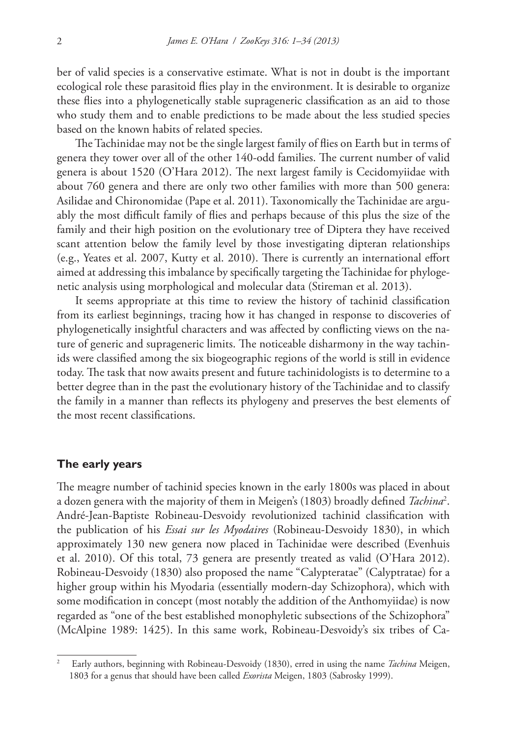ber of valid species is a conservative estimate. What is not in doubt is the important ecological role these parasitoid flies play in the environment. It is desirable to organize these flies into a phylogenetically stable suprageneric classification as an aid to those who study them and to enable predictions to be made about the less studied species based on the known habits of related species.

The Tachinidae may not be the single largest family of flies on Earth but in terms of genera they tower over all of the other 140-odd families. The current number of valid genera is about 1520 (O'Hara 2012). The next largest family is Cecidomyiidae with about 760 genera and there are only two other families with more than 500 genera: Asilidae and Chironomidae (Pape et al. 2011). Taxonomically the Tachinidae are arguably the most difficult family of flies and perhaps because of this plus the size of the family and their high position on the evolutionary tree of Diptera they have received scant attention below the family level by those investigating dipteran relationships (e.g., Yeates et al. 2007, Kutty et al. 2010). There is currently an international effort aimed at addressing this imbalance by specifically targeting the Tachinidae for phylogenetic analysis using morphological and molecular data (Stireman et al. 2013).

It seems appropriate at this time to review the history of tachinid classification from its earliest beginnings, tracing how it has changed in response to discoveries of phylogenetically insightful characters and was affected by conflicting views on the nature of generic and suprageneric limits. The noticeable disharmony in the way tachinids were classified among the six biogeographic regions of the world is still in evidence today. The task that now awaits present and future tachinidologists is to determine to a better degree than in the past the evolutionary history of the Tachinidae and to classify the family in a manner than reflects its phylogeny and preserves the best elements of the most recent classifications.

### **The early years**

The meagre number of tachinid species known in the early 1800s was placed in about a dozen genera with the majority of them in Meigen's (1803) broadly defined *Tachina*<sup>2</sup> . André-Jean-Baptiste Robineau-Desvoidy revolutionized tachinid classification with the publication of his *Essai sur les Myodaires* (Robineau-Desvoidy 1830), in which approximately 130 new genera now placed in Tachinidae were described (Evenhuis et al. 2010). Of this total, 73 genera are presently treated as valid (O'Hara 2012). Robineau-Desvoidy (1830) also proposed the name "Calypteratae" (Calyptratae) for a higher group within his Myodaria (essentially modern-day Schizophora), which with some modification in concept (most notably the addition of the Anthomyiidae) is now regarded as "one of the best established monophyletic subsections of the Schizophora" (McAlpine 1989: 1425). In this same work, Robineau-Desvoidy's six tribes of Ca-

<sup>2</sup> Early authors, beginning with Robineau-Desvoidy (1830), erred in using the name *Tachina* Meigen, 1803 for a genus that should have been called *Exorista* Meigen, 1803 (Sabrosky 1999).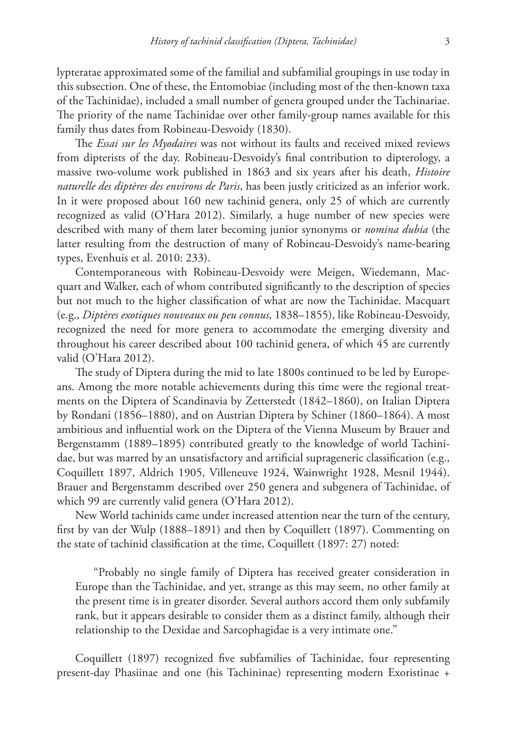lypteratae approximated some of the familial and subfamilial groupings in use today in this subsection. One of these, the Entomobiae (including most of the then-known taxa of the Tachinidae), included a small number of genera grouped under the Tachinariae. The priority of the name Tachinidae over other family-group names available for this family thus dates from Robineau-Desvoidy (1830).

The *Essai sur les Myodaires* was not without its faults and received mixed reviews from dipterists of the day. Robineau-Desvoidy's final contribution to dipterology, a massive two-volume work published in 1863 and six years after his death, *Histoire naturelle des diptères des environs de Paris*, has been justly criticized as an inferior work. In it were proposed about 160 new tachinid genera, only 25 of which are currently recognized as valid (O'Hara 2012). Similarly, a huge number of new species were described with many of them later becoming junior synonyms or *nomina dubia* (the latter resulting from the destruction of many of Robineau-Desvoidy's name-bearing types, Evenhuis et al. 2010: 233).

Contemporaneous with Robineau-Desvoidy were Meigen, Wiedemann, Macquart and Walker, each of whom contributed significantly to the description of species but not much to the higher classification of what are now the Tachinidae. Macquart (e.g., *Diptères exotiques nouveaux ou peu connus*, 1838–1855), like Robineau-Desvoidy, recognized the need for more genera to accommodate the emerging diversity and throughout his career described about 100 tachinid genera, of which 45 are currently valid (O'Hara 2012).

The study of Diptera during the mid to late 1800s continued to be led by Europeans. Among the more notable achievements during this time were the regional treatments on the Diptera of Scandinavia by Zetterstedt (1842–1860), on Italian Diptera by Rondani (1856–1880), and on Austrian Diptera by Schiner (1860–1864). A most ambitious and influential work on the Diptera of the Vienna Museum by Brauer and Bergenstamm (1889–1895) contributed greatly to the knowledge of world Tachinidae, but was marred by an unsatisfactory and artificial suprageneric classification (e.g., Coquillett 1897, Aldrich 1905, Villeneuve 1924, Wainwright 1928, Mesnil 1944). Brauer and Bergenstamm described over 250 genera and subgenera of Tachinidae, of which 99 are currently valid genera (O'Hara 2012).

New World tachinids came under increased attention near the turn of the century, first by van der Wulp (1888–1891) and then by Coquillett (1897). Commenting on the state of tachinid classification at the time, Coquillett (1897: 27) noted:

"Probably no single family of Diptera has received greater consideration in Europe than the Tachinidae, and yet, strange as this may seem, no other family at the present time is in greater disorder. Several authors accord them only subfamily rank, but it appears desirable to consider them as a distinct family, although their relationship to the Dexidae and Sarcophagidae is a very intimate one."

Coquillett (1897) recognized five subfamilies of Tachinidae, four representing present-day Phasiinae and one (his Tachininae) representing modern Exoristinae +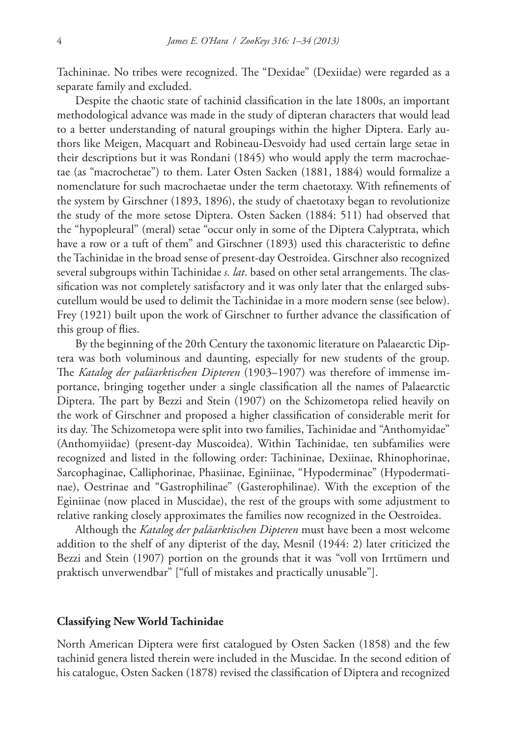Tachininae. No tribes were recognized. The "Dexidae" (Dexiidae) were regarded as a separate family and excluded.

Despite the chaotic state of tachinid classification in the late 1800s, an important methodological advance was made in the study of dipteran characters that would lead to a better understanding of natural groupings within the higher Diptera. Early authors like Meigen, Macquart and Robineau-Desvoidy had used certain large setae in their descriptions but it was Rondani (1845) who would apply the term macrochaetae (as "macrochetae") to them. Later Osten Sacken (1881, 1884) would formalize a nomenclature for such macrochaetae under the term chaetotaxy. With refinements of the system by Girschner (1893, 1896), the study of chaetotaxy began to revolutionize the study of the more setose Diptera. Osten Sacken (1884: 511) had observed that the "hypopleural" (meral) setae "occur only in some of the Diptera Calyptrata, which have a row or a tuft of them" and Girschner (1893) used this characteristic to define the Tachinidae in the broad sense of present-day Oestroidea. Girschner also recognized several subgroups within Tachinidae *s. lat*. based on other setal arrangements. The classification was not completely satisfactory and it was only later that the enlarged subscutellum would be used to delimit the Tachinidae in a more modern sense (see below). Frey (1921) built upon the work of Girschner to further advance the classification of this group of flies.

By the beginning of the 20th Century the taxonomic literature on Palaearctic Diptera was both voluminous and daunting, especially for new students of the group. The *Katalog der paläarktischen Dipteren* (1903–1907) was therefore of immense importance, bringing together under a single classification all the names of Palaearctic Diptera. The part by Bezzi and Stein (1907) on the Schizometopa relied heavily on the work of Girschner and proposed a higher classification of considerable merit for its day. The Schizometopa were split into two families, Tachinidae and "Anthomyidae" (Anthomyiidae) (present-day Muscoidea). Within Tachinidae, ten subfamilies were recognized and listed in the following order: Tachininae, Dexiinae, Rhinophorinae, Sarcophaginae, Calliphorinae, Phasiinae, Eginiinae, "Hypoderminae" (Hypodermatinae), Oestrinae and "Gastrophilinae" (Gasterophilinae). With the exception of the Eginiinae (now placed in Muscidae), the rest of the groups with some adjustment to relative ranking closely approximates the families now recognized in the Oestroidea.

Although the *Katalog der paläarktischen Dipteren* must have been a most welcome addition to the shelf of any dipterist of the day, Mesnil (1944: 2) later criticized the Bezzi and Stein (1907) portion on the grounds that it was "voll von Irrtümern und praktisch unverwendbar" ["full of mistakes and practically unusable"].

#### **Classifying New World Tachinidae**

North American Diptera were first catalogued by Osten Sacken (1858) and the few tachinid genera listed therein were included in the Muscidae. In the second edition of his catalogue, Osten Sacken (1878) revised the classification of Diptera and recognized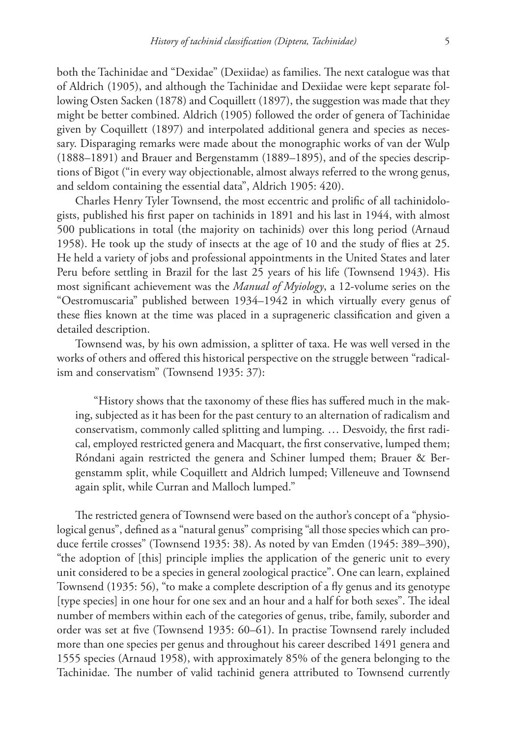both the Tachinidae and "Dexidae" (Dexiidae) as families. The next catalogue was that of Aldrich (1905), and although the Tachinidae and Dexiidae were kept separate following Osten Sacken (1878) and Coquillett (1897), the suggestion was made that they might be better combined. Aldrich (1905) followed the order of genera of Tachinidae given by Coquillett (1897) and interpolated additional genera and species as necessary. Disparaging remarks were made about the monographic works of van der Wulp (1888–1891) and Brauer and Bergenstamm (1889–1895), and of the species descriptions of Bigot ("in every way objectionable, almost always referred to the wrong genus, and seldom containing the essential data", Aldrich 1905: 420).

Charles Henry Tyler Townsend, the most eccentric and prolific of all tachinidologists, published his first paper on tachinids in 1891 and his last in 1944, with almost 500 publications in total (the majority on tachinids) over this long period (Arnaud 1958). He took up the study of insects at the age of 10 and the study of flies at 25. He held a variety of jobs and professional appointments in the United States and later Peru before settling in Brazil for the last 25 years of his life (Townsend 1943). His most significant achievement was the *Manual of Myiology*, a 12-volume series on the "Oestromuscaria" published between 1934–1942 in which virtually every genus of these flies known at the time was placed in a suprageneric classification and given a detailed description.

Townsend was, by his own admission, a splitter of taxa. He was well versed in the works of others and offered this historical perspective on the struggle between "radicalism and conservatism" (Townsend 1935: 37):

"History shows that the taxonomy of these flies has suffered much in the making, subjected as it has been for the past century to an alternation of radicalism and conservatism, commonly called splitting and lumping. … Desvoidy, the first radical, employed restricted genera and Macquart, the first conservative, lumped them; Róndani again restricted the genera and Schiner lumped them; Brauer & Bergenstamm split, while Coquillett and Aldrich lumped; Villeneuve and Townsend again split, while Curran and Malloch lumped."

The restricted genera of Townsend were based on the author's concept of a "physiological genus", defined as a "natural genus" comprising "all those species which can produce fertile crosses" (Townsend 1935: 38). As noted by van Emden (1945: 389–390), "the adoption of [this] principle implies the application of the generic unit to every unit considered to be a species in general zoological practice". One can learn, explained Townsend (1935: 56), "to make a complete description of a fly genus and its genotype [type species] in one hour for one sex and an hour and a half for both sexes". The ideal number of members within each of the categories of genus, tribe, family, suborder and order was set at five (Townsend 1935: 60–61). In practise Townsend rarely included more than one species per genus and throughout his career described 1491 genera and 1555 species (Arnaud 1958), with approximately 85% of the genera belonging to the Tachinidae. The number of valid tachinid genera attributed to Townsend currently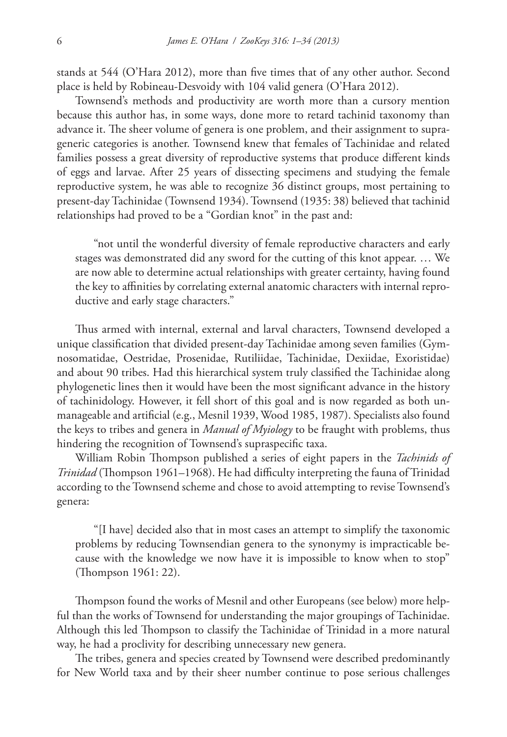stands at 544 (O'Hara 2012), more than five times that of any other author. Second place is held by Robineau-Desvoidy with 104 valid genera (O'Hara 2012).

Townsend's methods and productivity are worth more than a cursory mention because this author has, in some ways, done more to retard tachinid taxonomy than advance it. The sheer volume of genera is one problem, and their assignment to suprageneric categories is another. Townsend knew that females of Tachinidae and related families possess a great diversity of reproductive systems that produce different kinds of eggs and larvae. After 25 years of dissecting specimens and studying the female reproductive system, he was able to recognize 36 distinct groups, most pertaining to present-day Tachinidae (Townsend 1934). Townsend (1935: 38) believed that tachinid relationships had proved to be a "Gordian knot" in the past and:

"not until the wonderful diversity of female reproductive characters and early stages was demonstrated did any sword for the cutting of this knot appear. … We are now able to determine actual relationships with greater certainty, having found the key to affinities by correlating external anatomic characters with internal reproductive and early stage characters."

Thus armed with internal, external and larval characters, Townsend developed a unique classification that divided present-day Tachinidae among seven families (Gymnosomatidae, Oestridae, Prosenidae, Rutiliidae, Tachinidae, Dexiidae, Exoristidae) and about 90 tribes. Had this hierarchical system truly classified the Tachinidae along phylogenetic lines then it would have been the most significant advance in the history of tachinidology. However, it fell short of this goal and is now regarded as both unmanageable and artificial (e.g., Mesnil 1939, Wood 1985, 1987). Specialists also found the keys to tribes and genera in *Manual of Myiology* to be fraught with problems, thus hindering the recognition of Townsend's supraspecific taxa.

William Robin Thompson published a series of eight papers in the *Tachinids of Trinidad* (Thompson 1961–1968). He had difficulty interpreting the fauna of Trinidad according to the Townsend scheme and chose to avoid attempting to revise Townsend's genera:

"[I have] decided also that in most cases an attempt to simplify the taxonomic problems by reducing Townsendian genera to the synonymy is impracticable because with the knowledge we now have it is impossible to know when to stop" (Thompson 1961: 22).

Thompson found the works of Mesnil and other Europeans (see below) more helpful than the works of Townsend for understanding the major groupings of Tachinidae. Although this led Thompson to classify the Tachinidae of Trinidad in a more natural way, he had a proclivity for describing unnecessary new genera.

The tribes, genera and species created by Townsend were described predominantly for New World taxa and by their sheer number continue to pose serious challenges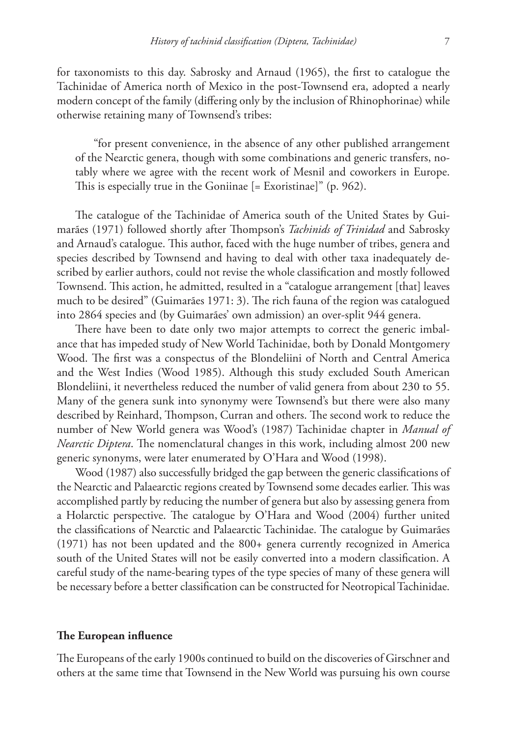for taxonomists to this day. Sabrosky and Arnaud (1965), the first to catalogue the Tachinidae of America north of Mexico in the post-Townsend era, adopted a nearly modern concept of the family (differing only by the inclusion of Rhinophorinae) while otherwise retaining many of Townsend's tribes:

"for present convenience, in the absence of any other published arrangement of the Nearctic genera, though with some combinations and generic transfers, notably where we agree with the recent work of Mesnil and coworkers in Europe. This is especially true in the Goniinae [= Exoristinae]" (p. 962).

The catalogue of the Tachinidae of America south of the United States by Guimarães (1971) followed shortly after Thompson's *Tachinids of Trinidad* and Sabrosky and Arnaud's catalogue. This author, faced with the huge number of tribes, genera and species described by Townsend and having to deal with other taxa inadequately described by earlier authors, could not revise the whole classification and mostly followed Townsend. This action, he admitted, resulted in a "catalogue arrangement [that] leaves much to be desired" (Guimarães 1971: 3). The rich fauna of the region was catalogued into 2864 species and (by Guimarães' own admission) an over-split 944 genera.

There have been to date only two major attempts to correct the generic imbalance that has impeded study of New World Tachinidae, both by Donald Montgomery Wood. The first was a conspectus of the Blondeliini of North and Central America and the West Indies (Wood 1985). Although this study excluded South American Blondeliini, it nevertheless reduced the number of valid genera from about 230 to 55. Many of the genera sunk into synonymy were Townsend's but there were also many described by Reinhard, Thompson, Curran and others. The second work to reduce the number of New World genera was Wood's (1987) Tachinidae chapter in *Manual of Nearctic Diptera*. The nomenclatural changes in this work, including almost 200 new generic synonyms, were later enumerated by O'Hara and Wood (1998).

Wood (1987) also successfully bridged the gap between the generic classifications of the Nearctic and Palaearctic regions created by Townsend some decades earlier. This was accomplished partly by reducing the number of genera but also by assessing genera from a Holarctic perspective. The catalogue by O'Hara and Wood (2004) further united the classifications of Nearctic and Palaearctic Tachinidae. The catalogue by Guimarães (1971) has not been updated and the 800+ genera currently recognized in America south of the United States will not be easily converted into a modern classification. A careful study of the name-bearing types of the type species of many of these genera will be necessary before a better classification can be constructed for Neotropical Tachinidae.

#### **The European influence**

The Europeans of the early 1900s continued to build on the discoveries of Girschner and others at the same time that Townsend in the New World was pursuing his own course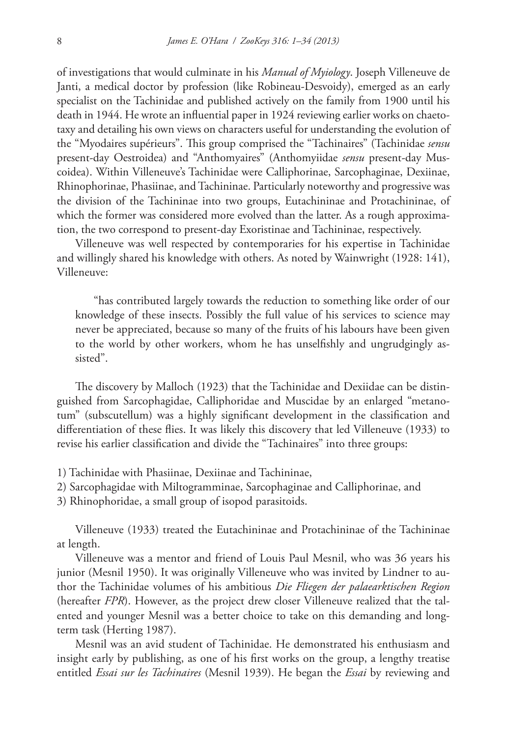of investigations that would culminate in his *Manual of Myiology*. Joseph Villeneuve de Janti, a medical doctor by profession (like Robineau-Desvoidy), emerged as an early specialist on the Tachinidae and published actively on the family from 1900 until his death in 1944. He wrote an influential paper in 1924 reviewing earlier works on chaetotaxy and detailing his own views on characters useful for understanding the evolution of the "Myodaires supérieurs". This group comprised the "Tachinaires" (Tachinidae *sensu* present-day Oestroidea) and "Anthomyaires" (Anthomyiidae *sensu* present-day Muscoidea). Within Villeneuve's Tachinidae were Calliphorinae, Sarcophaginae, Dexiinae, Rhinophorinae, Phasiinae, and Tachininae. Particularly noteworthy and progressive was the division of the Tachininae into two groups, Eutachininae and Protachininae, of which the former was considered more evolved than the latter. As a rough approximation, the two correspond to present-day Exoristinae and Tachininae, respectively.

Villeneuve was well respected by contemporaries for his expertise in Tachinidae and willingly shared his knowledge with others. As noted by Wainwright (1928: 141), Villeneuve:

"has contributed largely towards the reduction to something like order of our knowledge of these insects. Possibly the full value of his services to science may never be appreciated, because so many of the fruits of his labours have been given to the world by other workers, whom he has unselfishly and ungrudgingly assisted".

The discovery by Malloch (1923) that the Tachinidae and Dexiidae can be distinguished from Sarcophagidae, Calliphoridae and Muscidae by an enlarged "metanotum" (subscutellum) was a highly significant development in the classification and differentiation of these flies. It was likely this discovery that led Villeneuve (1933) to revise his earlier classification and divide the "Tachinaires" into three groups:

- 1) Tachinidae with Phasiinae, Dexiinae and Tachininae,
- 2) Sarcophagidae with Miltogramminae, Sarcophaginae and Calliphorinae, and
- 3) Rhinophoridae, a small group of isopod parasitoids.

Villeneuve (1933) treated the Eutachininae and Protachininae of the Tachininae at length.

Villeneuve was a mentor and friend of Louis Paul Mesnil, who was 36 years his junior (Mesnil 1950). It was originally Villeneuve who was invited by Lindner to author the Tachinidae volumes of his ambitious *Die Fliegen der palaearktischen Region* (hereafter *FPR*). However, as the project drew closer Villeneuve realized that the talented and younger Mesnil was a better choice to take on this demanding and longterm task (Herting 1987).

Mesnil was an avid student of Tachinidae. He demonstrated his enthusiasm and insight early by publishing, as one of his first works on the group, a lengthy treatise entitled *Essai sur les Tachinaires* (Mesnil 1939). He began the *Essai* by reviewing and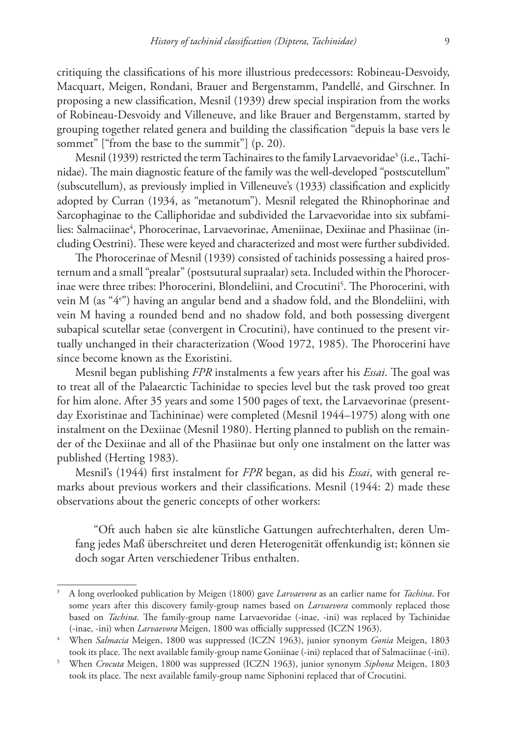critiquing the classifications of his more illustrious predecessors: Robineau-Desvoidy, Macquart, Meigen, Rondani, Brauer and Bergenstamm, Pandellé, and Girschner. In proposing a new classification, Mesnil (1939) drew special inspiration from the works of Robineau-Desvoidy and Villeneuve, and like Brauer and Bergenstamm, started by grouping together related genera and building the classification "depuis la base vers le sommet" ["from the base to the summit"] (p. 20).

Mesnil (1939) restricted the term Tachinaires to the family Larvaevoridae $^3$  (i.e., Tachinidae). The main diagnostic feature of the family was the well-developed "postscutellum" (subscutellum), as previously implied in Villeneuve's (1933) classification and explicitly adopted by Curran (1934, as "metanotum"). Mesnil relegated the Rhinophorinae and Sarcophaginae to the Calliphoridae and subdivided the Larvaevoridae into six subfamilies: Salmaciinae<sup>4</sup>, Phorocerinae, Larvaevorinae, Ameniinae, Dexiinae and Phasiinae (including Oestrini). These were keyed and characterized and most were further subdivided.

The Phorocerinae of Mesnil (1939) consisted of tachinids possessing a haired prosternum and a small "prealar" (postsutural supraalar) seta. Included within the Phorocerinae were three tribes: Phorocerini, Blondeliini, and Crocutini5 . The Phorocerini, with vein M (as "4e ") having an angular bend and a shadow fold, and the Blondeliini, with vein M having a rounded bend and no shadow fold, and both possessing divergent subapical scutellar setae (convergent in Crocutini), have continued to the present virtually unchanged in their characterization (Wood 1972, 1985). The Phorocerini have since become known as the Exoristini.

Mesnil began publishing *FPR* instalments a few years after his *Essai*. The goal was to treat all of the Palaearctic Tachinidae to species level but the task proved too great for him alone. After 35 years and some 1500 pages of text, the Larvaevorinae (presentday Exoristinae and Tachininae) were completed (Mesnil 1944–1975) along with one instalment on the Dexiinae (Mesnil 1980). Herting planned to publish on the remainder of the Dexiinae and all of the Phasiinae but only one instalment on the latter was published (Herting 1983).

Mesnil's (1944) first instalment for *FPR* began, as did his *Essai*, with general remarks about previous workers and their classifications. Mesnil (1944: 2) made these observations about the generic concepts of other workers:

"Oft auch haben sie alte künstliche Gattungen aufrechterhalten, deren Umfang jedes Maß überschreitet und deren Heterogenität offenkundig ist; können sie doch sogar Arten verschiedener Tribus enthalten.

<sup>3</sup> A long overlooked publication by Meigen (1800) gave *Larvaevora* as an earlier name for *Tachina*. For some years after this discovery family-group names based on *Larvaevora* commonly replaced those based on *Tachina*. The family-group name Larvaevoridae (-inae, -ini) was replaced by Tachinidae (-inae, -ini) when *Larvaevora* Meigen, 1800 was officially suppressed (ICZN 1963).

<sup>4</sup> When *Salmacia* Meigen, 1800 was suppressed (ICZN 1963), junior synonym *Gonia* Meigen, 1803 took its place. The next available family-group name Goniinae (-ini) replaced that of Salmaciinae (-ini).

<sup>5</sup> When *Crocuta* Meigen, 1800 was suppressed (ICZN 1963), junior synonym *Siphona* Meigen, 1803 took its place. The next available family-group name Siphonini replaced that of Crocutini.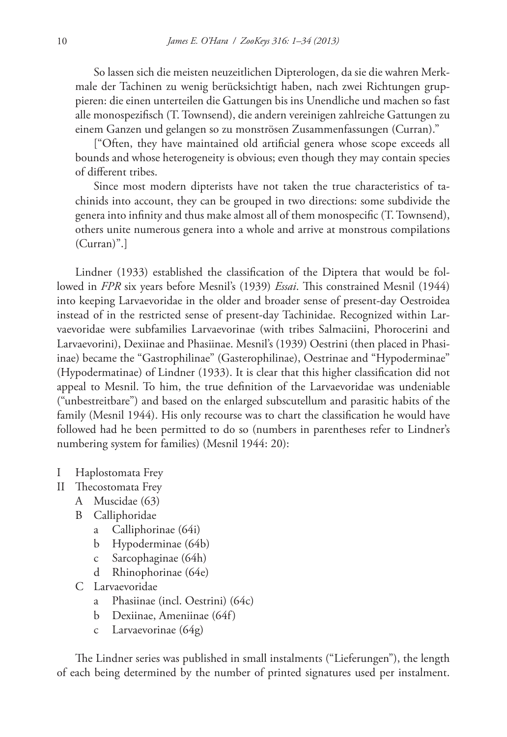So lassen sich die meisten neuzeitlichen Dipterologen, da sie die wahren Merkmale der Tachinen zu wenig berücksichtigt haben, nach zwei Richtungen gruppieren: die einen unterteilen die Gattungen bis ins Unendliche und machen so fast alle monospezifisch (T. Townsend), die andern vereinigen zahlreiche Gattungen zu einem Ganzen und gelangen so zu monströsen Zusammenfassungen (Curran)."

["Often, they have maintained old artificial genera whose scope exceeds all bounds and whose heterogeneity is obvious; even though they may contain species of different tribes.

Since most modern dipterists have not taken the true characteristics of tachinids into account, they can be grouped in two directions: some subdivide the genera into infinity and thus make almost all of them monospecific (T. Townsend), others unite numerous genera into a whole and arrive at monstrous compilations (Curran)".]

Lindner (1933) established the classification of the Diptera that would be followed in *FPR* six years before Mesnil's (1939) *Essai*. This constrained Mesnil (1944) into keeping Larvaevoridae in the older and broader sense of present-day Oestroidea instead of in the restricted sense of present-day Tachinidae. Recognized within Larvaevoridae were subfamilies Larvaevorinae (with tribes Salmaciini, Phorocerini and Larvaevorini), Dexiinae and Phasiinae. Mesnil's (1939) Oestrini (then placed in Phasiinae) became the "Gastrophilinae" (Gasterophilinae), Oestrinae and "Hypoderminae" (Hypodermatinae) of Lindner (1933). It is clear that this higher classification did not appeal to Mesnil. To him, the true definition of the Larvaevoridae was undeniable ("unbestreitbare") and based on the enlarged subscutellum and parasitic habits of the family (Mesnil 1944). His only recourse was to chart the classification he would have followed had he been permitted to do so (numbers in parentheses refer to Lindner's numbering system for families) (Mesnil 1944: 20):

- I Haplostomata Frey
- II Thecostomata Frey
	- A Muscidae (63)
	- B Calliphoridae
		- a Calliphorinae (64i)
		- b Hypoderminae (64b)
		- c Sarcophaginae (64h)
		- d Rhinophorinae (64e)
	- C Larvaevoridae
		- a Phasiinae (incl. Oestrini) (64c)
		- b Dexiinae, Ameniinae (64f)
		- c Larvaevorinae (64g)

The Lindner series was published in small instalments ("Lieferungen"), the length of each being determined by the number of printed signatures used per instalment.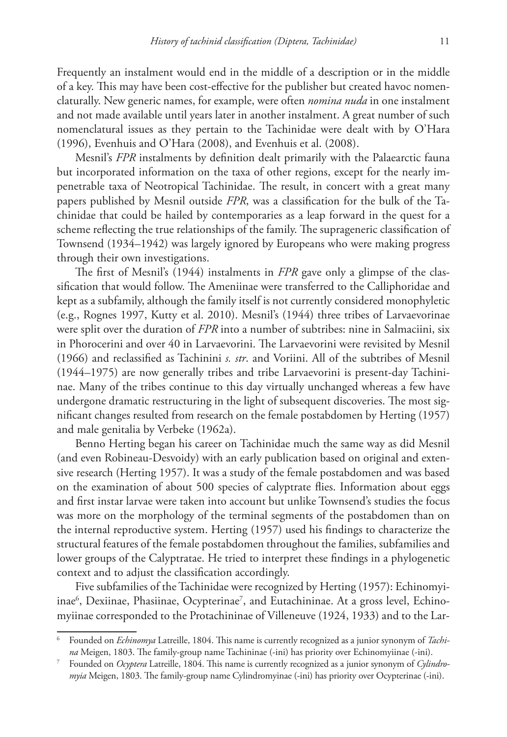Frequently an instalment would end in the middle of a description or in the middle of a key. This may have been cost-effective for the publisher but created havoc nomenclaturally. New generic names, for example, were often *nomina nuda* in one instalment and not made available until years later in another instalment. A great number of such nomenclatural issues as they pertain to the Tachinidae were dealt with by O'Hara (1996), Evenhuis and O'Hara (2008), and Evenhuis et al. (2008).

Mesnil's *FPR* instalments by definition dealt primarily with the Palaearctic fauna but incorporated information on the taxa of other regions, except for the nearly impenetrable taxa of Neotropical Tachinidae. The result, in concert with a great many papers published by Mesnil outside *FPR*, was a classification for the bulk of the Tachinidae that could be hailed by contemporaries as a leap forward in the quest for a scheme reflecting the true relationships of the family. The suprageneric classification of Townsend (1934–1942) was largely ignored by Europeans who were making progress through their own investigations.

The first of Mesnil's (1944) instalments in *FPR* gave only a glimpse of the classification that would follow. The Ameniinae were transferred to the Calliphoridae and kept as a subfamily, although the family itself is not currently considered monophyletic (e.g., Rognes 1997, Kutty et al. 2010). Mesnil's (1944) three tribes of Larvaevorinae were split over the duration of *FPR* into a number of subtribes: nine in Salmaciini, six in Phorocerini and over 40 in Larvaevorini. The Larvaevorini were revisited by Mesnil (1966) and reclassified as Tachinini *s. str*. and Voriini. All of the subtribes of Mesnil (1944–1975) are now generally tribes and tribe Larvaevorini is present-day Tachininae. Many of the tribes continue to this day virtually unchanged whereas a few have undergone dramatic restructuring in the light of subsequent discoveries. The most significant changes resulted from research on the female postabdomen by Herting (1957) and male genitalia by Verbeke (1962a).

Benno Herting began his career on Tachinidae much the same way as did Mesnil (and even Robineau-Desvoidy) with an early publication based on original and extensive research (Herting 1957). It was a study of the female postabdomen and was based on the examination of about 500 species of calyptrate flies. Information about eggs and first instar larvae were taken into account but unlike Townsend's studies the focus was more on the morphology of the terminal segments of the postabdomen than on the internal reproductive system. Herting (1957) used his findings to characterize the structural features of the female postabdomen throughout the families, subfamilies and lower groups of the Calyptratae. He tried to interpret these findings in a phylogenetic context and to adjust the classification accordingly.

Five subfamilies of the Tachinidae were recognized by Herting (1957): Echinomyiinae<sup>6</sup>, Dexiinae, Phasiinae, Ocypterinae<sup>7</sup>, and Eutachininae. At a gross level, Echinomyiinae corresponded to the Protachininae of Villeneuve (1924, 1933) and to the Lar-

<sup>6</sup> Founded on *Echinomya* Latreille, 1804. This name is currently recognized as a junior synonym of *Tachina* Meigen, 1803. The family-group name Tachininae (-ini) has priority over Echinomyiinae (-ini).

<sup>7</sup> Founded on *Ocyptera* Latreille, 1804. This name is currently recognized as a junior synonym of *Cylindromyia* Meigen, 1803. The family-group name Cylindromyinae (-ini) has priority over Ocypterinae (-ini).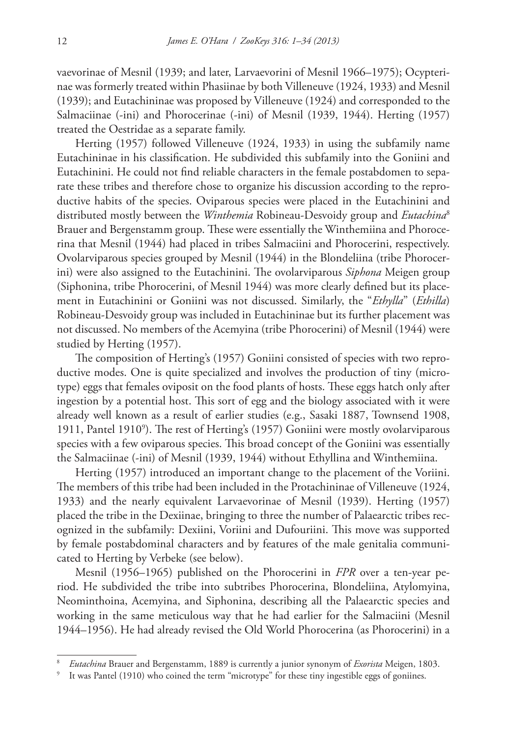vaevorinae of Mesnil (1939; and later, Larvaevorini of Mesnil 1966–1975); Ocypterinae was formerly treated within Phasiinae by both Villeneuve (1924, 1933) and Mesnil (1939); and Eutachininae was proposed by Villeneuve (1924) and corresponded to the Salmaciinae (-ini) and Phorocerinae (-ini) of Mesnil (1939, 1944). Herting (1957) treated the Oestridae as a separate family.

Herting (1957) followed Villeneuve (1924, 1933) in using the subfamily name Eutachininae in his classification. He subdivided this subfamily into the Goniini and Eutachinini. He could not find reliable characters in the female postabdomen to separate these tribes and therefore chose to organize his discussion according to the reproductive habits of the species. Oviparous species were placed in the Eutachinini and distributed mostly between the *Winthemia* Robineau-Desvoidy group and *Eutachina*<sup>8</sup> Brauer and Bergenstamm group. These were essentially the Winthemiina and Phorocerina that Mesnil (1944) had placed in tribes Salmaciini and Phorocerini, respectively. Ovolarviparous species grouped by Mesnil (1944) in the Blondeliina (tribe Phorocerini) were also assigned to the Eutachinini. The ovolarviparous *Siphona* Meigen group (Siphonina, tribe Phorocerini, of Mesnil 1944) was more clearly defined but its placement in Eutachinini or Goniini was not discussed. Similarly, the "*Ethylla*" (*Ethilla*) Robineau-Desvoidy group was included in Eutachininae but its further placement was not discussed. No members of the Acemyina (tribe Phorocerini) of Mesnil (1944) were studied by Herting (1957).

The composition of Herting's (1957) Goniini consisted of species with two reproductive modes. One is quite specialized and involves the production of tiny (microtype) eggs that females oviposit on the food plants of hosts. These eggs hatch only after ingestion by a potential host. This sort of egg and the biology associated with it were already well known as a result of earlier studies (e.g., Sasaki 1887, Townsend 1908, 1911, Pantel 19109 ). The rest of Herting's (1957) Goniini were mostly ovolarviparous species with a few oviparous species. This broad concept of the Goniini was essentially the Salmaciinae (-ini) of Mesnil (1939, 1944) without Ethyllina and Winthemiina.

Herting (1957) introduced an important change to the placement of the Voriini. The members of this tribe had been included in the Protachininae of Villeneuve (1924, 1933) and the nearly equivalent Larvaevorinae of Mesnil (1939). Herting (1957) placed the tribe in the Dexiinae, bringing to three the number of Palaearctic tribes recognized in the subfamily: Dexiini, Voriini and Dufouriini. This move was supported by female postabdominal characters and by features of the male genitalia communicated to Herting by Verbeke (see below).

Mesnil (1956–1965) published on the Phorocerini in *FPR* over a ten-year period. He subdivided the tribe into subtribes Phorocerina, Blondeliina, Atylomyina, Neominthoina, Acemyina, and Siphonina, describing all the Palaearctic species and working in the same meticulous way that he had earlier for the Salmaciini (Mesnil 1944–1956). He had already revised the Old World Phorocerina (as Phorocerini) in a

<sup>8</sup> *Eutachina* Brauer and Bergenstamm, 1889 is currently a junior synonym of *Exorista* Meigen, 1803.

It was Pantel (1910) who coined the term "microtype" for these tiny ingestible eggs of goniines.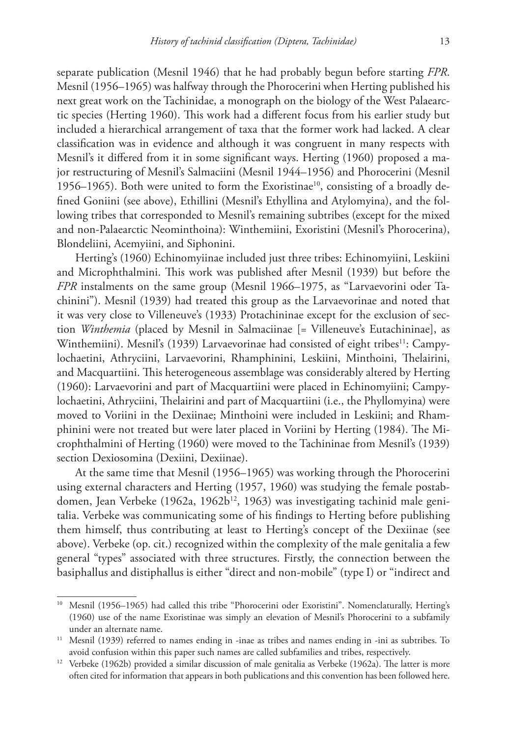separate publication (Mesnil 1946) that he had probably begun before starting *FPR*. Mesnil (1956–1965) was halfway through the Phorocerini when Herting published his next great work on the Tachinidae, a monograph on the biology of the West Palaearctic species (Herting 1960). This work had a different focus from his earlier study but included a hierarchical arrangement of taxa that the former work had lacked. A clear classification was in evidence and although it was congruent in many respects with Mesnil's it differed from it in some significant ways. Herting (1960) proposed a major restructuring of Mesnil's Salmaciini (Mesnil 1944–1956) and Phorocerini (Mesnil 1956–1965). Both were united to form the Exoristinae<sup>10</sup>, consisting of a broadly defined Goniini (see above), Ethillini (Mesnil's Ethyllina and Atylomyina), and the following tribes that corresponded to Mesnil's remaining subtribes (except for the mixed and non-Palaearctic Neominthoina): Winthemiini, Exoristini (Mesnil's Phorocerina), Blondeliini, Acemyiini, and Siphonini.

Herting's (1960) Echinomyiinae included just three tribes: Echinomyiini, Leskiini and Microphthalmini. This work was published after Mesnil (1939) but before the *FPR* instalments on the same group (Mesnil 1966–1975, as "Larvaevorini oder Tachinini"). Mesnil (1939) had treated this group as the Larvaevorinae and noted that it was very close to Villeneuve's (1933) Protachininae except for the exclusion of section *Winthemia* (placed by Mesnil in Salmaciinae [= Villeneuve's Eutachininae], as Winthemiini). Mesnil's (1939) Larvaevorinae had consisted of eight tribes<sup>11</sup>: Campylochaetini, Athryciini, Larvaevorini, Rhamphinini, Leskiini, Minthoini, Thelairini, and Macquartiini. This heterogeneous assemblage was considerably altered by Herting (1960): Larvaevorini and part of Macquartiini were placed in Echinomyiini; Campylochaetini, Athryciini, Thelairini and part of Macquartiini (i.e., the Phyllomyina) were moved to Voriini in the Dexiinae; Minthoini were included in Leskiini; and Rhamphinini were not treated but were later placed in Voriini by Herting (1984). The Microphthalmini of Herting (1960) were moved to the Tachininae from Mesnil's (1939) section Dexiosomina (Dexiini, Dexiinae).

At the same time that Mesnil (1956–1965) was working through the Phorocerini using external characters and Herting (1957, 1960) was studying the female postabdomen, Jean Verbeke (1962a, 1962b<sup>12</sup>, 1963) was investigating tachinid male genitalia. Verbeke was communicating some of his findings to Herting before publishing them himself, thus contributing at least to Herting's concept of the Dexiinae (see above). Verbeke (op. cit.) recognized within the complexity of the male genitalia a few general "types" associated with three structures. Firstly, the connection between the basiphallus and distiphallus is either "direct and non-mobile" (type I) or "indirect and

<sup>&</sup>lt;sup>10</sup> Mesnil (1956–1965) had called this tribe "Phorocerini oder Exoristini". Nomenclaturally, Herting's (1960) use of the name Exoristinae was simply an elevation of Mesnil's Phorocerini to a subfamily under an alternate name.

<sup>11</sup> Mesnil (1939) referred to names ending in -inae as tribes and names ending in -ini as subtribes. To avoid confusion within this paper such names are called subfamilies and tribes, respectively.

<sup>&</sup>lt;sup>12</sup> Verbeke (1962b) provided a similar discussion of male genitalia as Verbeke (1962a). The latter is more often cited for information that appears in both publications and this convention has been followed here.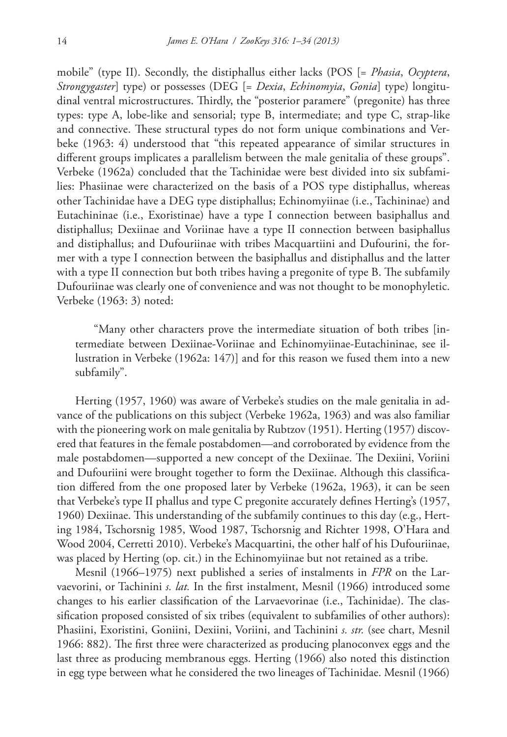mobile" (type II). Secondly, the distiphallus either lacks (POS [= *Phasia*, *Ocyptera*, *Strongygaster*] type) or possesses (DEG [= *Dexia*, *Echinomyia*, *Gonia*] type) longitudinal ventral microstructures. Thirdly, the "posterior paramere" (pregonite) has three types: type A, lobe-like and sensorial; type B, intermediate; and type C, strap-like and connective. These structural types do not form unique combinations and Verbeke (1963: 4) understood that "this repeated appearance of similar structures in different groups implicates a parallelism between the male genitalia of these groups". Verbeke (1962a) concluded that the Tachinidae were best divided into six subfamilies: Phasiinae were characterized on the basis of a POS type distiphallus, whereas other Tachinidae have a DEG type distiphallus; Echinomyiinae (i.e., Tachininae) and Eutachininae (i.e., Exoristinae) have a type I connection between basiphallus and distiphallus; Dexiinae and Voriinae have a type II connection between basiphallus and distiphallus; and Dufouriinae with tribes Macquartiini and Dufourini, the former with a type I connection between the basiphallus and distiphallus and the latter with a type II connection but both tribes having a pregonite of type B. The subfamily Dufouriinae was clearly one of convenience and was not thought to be monophyletic. Verbeke (1963: 3) noted:

"Many other characters prove the intermediate situation of both tribes [intermediate between Dexiinae-Voriinae and Echinomyiinae-Eutachininae, see illustration in Verbeke (1962a: 147)] and for this reason we fused them into a new subfamily".

Herting (1957, 1960) was aware of Verbeke's studies on the male genitalia in advance of the publications on this subject (Verbeke 1962a, 1963) and was also familiar with the pioneering work on male genitalia by Rubtzov (1951). Herting (1957) discovered that features in the female postabdomen—and corroborated by evidence from the male postabdomen—supported a new concept of the Dexiinae. The Dexiini, Voriini and Dufouriini were brought together to form the Dexiinae. Although this classification differed from the one proposed later by Verbeke (1962a, 1963), it can be seen that Verbeke's type II phallus and type C pregonite accurately defines Herting's (1957, 1960) Dexiinae. This understanding of the subfamily continues to this day (e.g., Herting 1984, Tschorsnig 1985, Wood 1987, Tschorsnig and Richter 1998, O'Hara and Wood 2004, Cerretti 2010). Verbeke's Macquartini, the other half of his Dufouriinae, was placed by Herting (op. cit.) in the Echinomyiinae but not retained as a tribe.

Mesnil (1966–1975) next published a series of instalments in *FPR* on the Larvaevorini, or Tachinini *s. lat.* In the first instalment, Mesnil (1966) introduced some changes to his earlier classification of the Larvaevorinae (i.e., Tachinidae). The classification proposed consisted of six tribes (equivalent to subfamilies of other authors): Phasiini, Exoristini, Goniini, Dexiini, Voriini, and Tachinini *s. str.* (see chart, Mesnil 1966: 882). The first three were characterized as producing planoconvex eggs and the last three as producing membranous eggs. Herting (1966) also noted this distinction in egg type between what he considered the two lineages of Tachinidae. Mesnil (1966)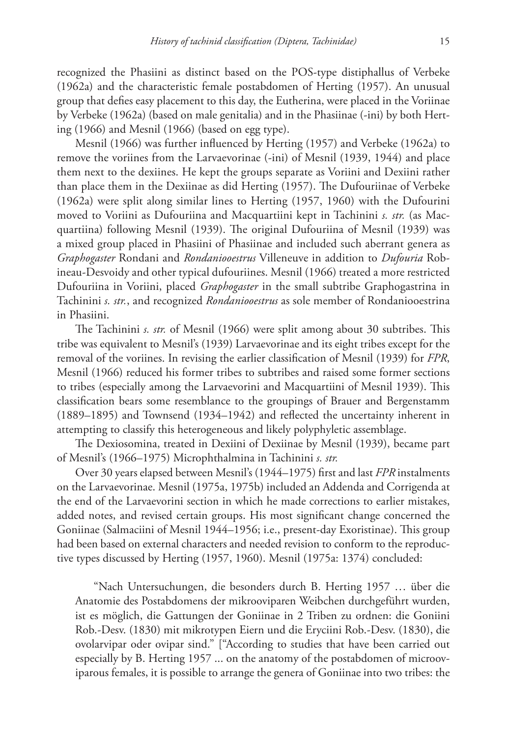recognized the Phasiini as distinct based on the POS-type distiphallus of Verbeke (1962a) and the characteristic female postabdomen of Herting (1957). An unusual group that defies easy placement to this day, the Eutherina, were placed in the Voriinae by Verbeke (1962a) (based on male genitalia) and in the Phasiinae (-ini) by both Herting (1966) and Mesnil (1966) (based on egg type).

Mesnil (1966) was further influenced by Herting (1957) and Verbeke (1962a) to remove the voriines from the Larvaevorinae (-ini) of Mesnil (1939, 1944) and place them next to the dexiines. He kept the groups separate as Voriini and Dexiini rather than place them in the Dexiinae as did Herting (1957). The Dufouriinae of Verbeke (1962a) were split along similar lines to Herting (1957, 1960) with the Dufourini moved to Voriini as Dufouriina and Macquartiini kept in Tachinini *s. str.* (as Macquartiina) following Mesnil (1939). The original Dufouriina of Mesnil (1939) was a mixed group placed in Phasiini of Phasiinae and included such aberrant genera as *Graphogaster* Rondani and *Rondaniooestrus* Villeneuve in addition to *Dufouria* Robineau-Desvoidy and other typical dufouriines. Mesnil (1966) treated a more restricted Dufouriina in Voriini, placed *Graphogaster* in the small subtribe Graphogastrina in Tachinini *s. str.*, and recognized *Rondaniooestrus* as sole member of Rondaniooestrina in Phasiini.

The Tachinini *s. str.* of Mesnil (1966) were split among about 30 subtribes. This tribe was equivalent to Mesnil's (1939) Larvaevorinae and its eight tribes except for the removal of the voriines. In revising the earlier classification of Mesnil (1939) for *FPR*, Mesnil (1966) reduced his former tribes to subtribes and raised some former sections to tribes (especially among the Larvaevorini and Macquartiini of Mesnil 1939). This classification bears some resemblance to the groupings of Brauer and Bergenstamm (1889–1895) and Townsend (1934–1942) and reflected the uncertainty inherent in attempting to classify this heterogeneous and likely polyphyletic assemblage.

The Dexiosomina, treated in Dexiini of Dexiinae by Mesnil (1939), became part of Mesnil's (1966–1975) Microphthalmina in Tachinini *s. str.*

Over 30 years elapsed between Mesnil's (1944–1975) first and last *FPR* instalments on the Larvaevorinae. Mesnil (1975a, 1975b) included an Addenda and Corrigenda at the end of the Larvaevorini section in which he made corrections to earlier mistakes, added notes, and revised certain groups. His most significant change concerned the Goniinae (Salmaciini of Mesnil 1944–1956; i.e., present-day Exoristinae). This group had been based on external characters and needed revision to conform to the reproductive types discussed by Herting (1957, 1960). Mesnil (1975a: 1374) concluded:

"Nach Untersuchungen, die besonders durch B. Herting 1957 … über die Anatomie des Postabdomens der mikrooviparen Weibchen durchgeführt wurden, ist es möglich, die Gattungen der Goniinae in 2 Triben zu ordnen: die Goniini Rob.-Desv. (1830) mit mikrotypen Eiern und die Eryciini Rob.-Desv. (1830), die ovolarvipar oder ovipar sind." ["According to studies that have been carried out especially by B. Herting 1957 ... on the anatomy of the postabdomen of microoviparous females, it is possible to arrange the genera of Goniinae into two tribes: the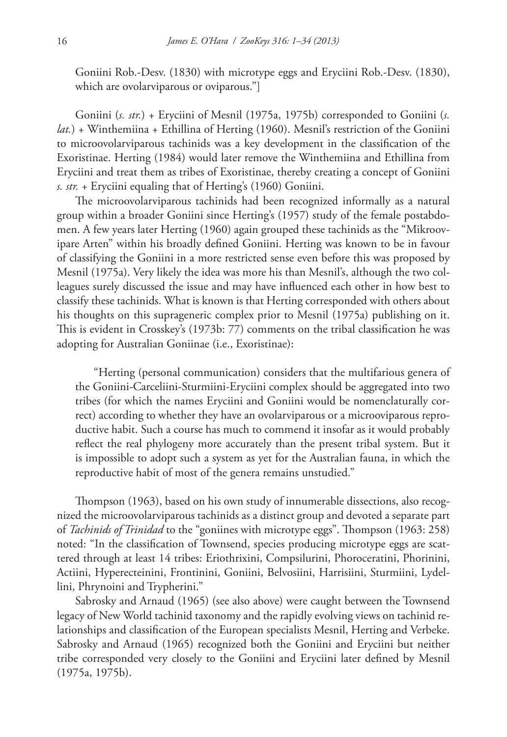Goniini Rob.-Desv. (1830) with microtype eggs and Eryciini Rob.-Desv. (1830), which are ovolarviparous or oviparous."

Goniini (*s. str.*) + Eryciini of Mesnil (1975a, 1975b) corresponded to Goniini (*s. lat.*) + Winthemiina + Ethillina of Herting (1960). Mesnil's restriction of the Goniini to microovolarviparous tachinids was a key development in the classification of the Exoristinae. Herting (1984) would later remove the Winthemiina and Ethillina from Eryciini and treat them as tribes of Exoristinae, thereby creating a concept of Goniini *s. str.* + Eryciini equaling that of Herting's (1960) Goniini.

The microovolarviparous tachinids had been recognized informally as a natural group within a broader Goniini since Herting's (1957) study of the female postabdomen. A few years later Herting (1960) again grouped these tachinids as the "Mikroovipare Arten" within his broadly defined Goniini. Herting was known to be in favour of classifying the Goniini in a more restricted sense even before this was proposed by Mesnil (1975a). Very likely the idea was more his than Mesnil's, although the two colleagues surely discussed the issue and may have influenced each other in how best to classify these tachinids. What is known is that Herting corresponded with others about his thoughts on this suprageneric complex prior to Mesnil (1975a) publishing on it. This is evident in Crosskey's (1973b: 77) comments on the tribal classification he was adopting for Australian Goniinae (i.e., Exoristinae):

"Herting (personal communication) considers that the multifarious genera of the Goniini-Carceliini-Sturmiini-Eryciini complex should be aggregated into two tribes (for which the names Eryciini and Goniini would be nomenclaturally correct) according to whether they have an ovolarviparous or a microoviparous reproductive habit. Such a course has much to commend it insofar as it would probably reflect the real phylogeny more accurately than the present tribal system. But it is impossible to adopt such a system as yet for the Australian fauna, in which the reproductive habit of most of the genera remains unstudied."

Thompson (1963), based on his own study of innumerable dissections, also recognized the microovolarviparous tachinids as a distinct group and devoted a separate part of *Tachinids of Trinidad* to the "goniines with microtype eggs". Thompson (1963: 258) noted: "In the classification of Townsend, species producing microtype eggs are scattered through at least 14 tribes: Eriothrixini, Compsilurini, Phoroceratini, Phorinini, Actiini, Hyperecteinini, Frontinini, Goniini, Belvosiini, Harrisiini, Sturmiini, Lydellini, Phrynoini and Trypherini."

Sabrosky and Arnaud (1965) (see also above) were caught between the Townsend legacy of New World tachinid taxonomy and the rapidly evolving views on tachinid relationships and classification of the European specialists Mesnil, Herting and Verbeke. Sabrosky and Arnaud (1965) recognized both the Goniini and Eryciini but neither tribe corresponded very closely to the Goniini and Eryciini later defined by Mesnil (1975a, 1975b).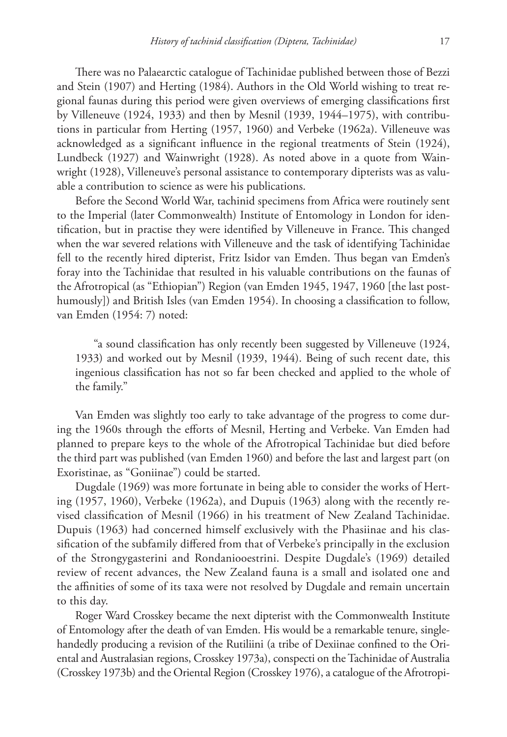There was no Palaearctic catalogue of Tachinidae published between those of Bezzi and Stein (1907) and Herting (1984). Authors in the Old World wishing to treat regional faunas during this period were given overviews of emerging classifications first by Villeneuve (1924, 1933) and then by Mesnil (1939, 1944–1975), with contributions in particular from Herting (1957, 1960) and Verbeke (1962a). Villeneuve was acknowledged as a significant influence in the regional treatments of Stein (1924), Lundbeck (1927) and Wainwright (1928). As noted above in a quote from Wainwright (1928), Villeneuve's personal assistance to contemporary dipterists was as valuable a contribution to science as were his publications.

Before the Second World War, tachinid specimens from Africa were routinely sent to the Imperial (later Commonwealth) Institute of Entomology in London for identification, but in practise they were identified by Villeneuve in France. This changed when the war severed relations with Villeneuve and the task of identifying Tachinidae fell to the recently hired dipterist, Fritz Isidor van Emden. Thus began van Emden's foray into the Tachinidae that resulted in his valuable contributions on the faunas of the Afrotropical (as "Ethiopian") Region (van Emden 1945, 1947, 1960 [the last posthumously]) and British Isles (van Emden 1954). In choosing a classification to follow, van Emden (1954: 7) noted:

"a sound classification has only recently been suggested by Villeneuve (1924, 1933) and worked out by Mesnil (1939, 1944). Being of such recent date, this ingenious classification has not so far been checked and applied to the whole of the family."

Van Emden was slightly too early to take advantage of the progress to come during the 1960s through the efforts of Mesnil, Herting and Verbeke. Van Emden had planned to prepare keys to the whole of the Afrotropical Tachinidae but died before the third part was published (van Emden 1960) and before the last and largest part (on Exoristinae, as "Goniinae") could be started.

Dugdale (1969) was more fortunate in being able to consider the works of Herting (1957, 1960), Verbeke (1962a), and Dupuis (1963) along with the recently revised classification of Mesnil (1966) in his treatment of New Zealand Tachinidae. Dupuis (1963) had concerned himself exclusively with the Phasiinae and his classification of the subfamily differed from that of Verbeke's principally in the exclusion of the Strongygasterini and Rondaniooestrini. Despite Dugdale's (1969) detailed review of recent advances, the New Zealand fauna is a small and isolated one and the affinities of some of its taxa were not resolved by Dugdale and remain uncertain to this day.

Roger Ward Crosskey became the next dipterist with the Commonwealth Institute of Entomology after the death of van Emden. His would be a remarkable tenure, singlehandedly producing a revision of the Rutiliini (a tribe of Dexiinae confined to the Oriental and Australasian regions, Crosskey 1973a), conspecti on the Tachinidae of Australia (Crosskey 1973b) and the Oriental Region (Crosskey 1976), a catalogue of the Afrotropi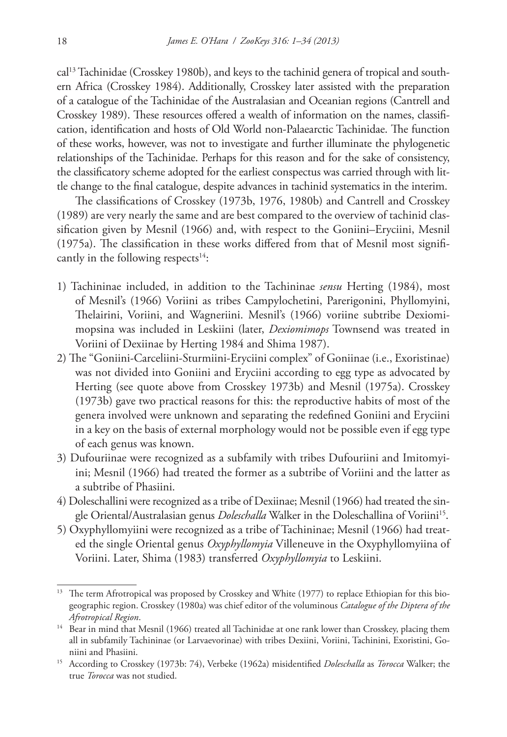cal13 Tachinidae (Crosskey 1980b), and keys to the tachinid genera of tropical and southern Africa (Crosskey 1984). Additionally, Crosskey later assisted with the preparation of a catalogue of the Tachinidae of the Australasian and Oceanian regions (Cantrell and Crosskey 1989). These resources offered a wealth of information on the names, classification, identification and hosts of Old World non-Palaearctic Tachinidae. The function of these works, however, was not to investigate and further illuminate the phylogenetic relationships of the Tachinidae. Perhaps for this reason and for the sake of consistency, the classificatory scheme adopted for the earliest conspectus was carried through with little change to the final catalogue, despite advances in tachinid systematics in the interim.

The classifications of Crosskey (1973b, 1976, 1980b) and Cantrell and Crosskey (1989) are very nearly the same and are best compared to the overview of tachinid classification given by Mesnil (1966) and, with respect to the Goniini–Eryciini, Mesnil (1975a). The classification in these works differed from that of Mesnil most significantly in the following respects $14$ :

- 1) Tachininae included, in addition to the Tachininae *sensu* Herting (1984), most of Mesnil's (1966) Voriini as tribes Campylochetini, Parerigonini, Phyllomyini, Thelairini, Voriini, and Wagneriini. Mesnil's (1966) voriine subtribe Dexiomimopsina was included in Leskiini (later, *Dexiomimops* Townsend was treated in Voriini of Dexiinae by Herting 1984 and Shima 1987).
- 2) The "Goniini-Carceliini-Sturmiini-Eryciini complex" of Goniinae (i.e., Exoristinae) was not divided into Goniini and Eryciini according to egg type as advocated by Herting (see quote above from Crosskey 1973b) and Mesnil (1975a). Crosskey (1973b) gave two practical reasons for this: the reproductive habits of most of the genera involved were unknown and separating the redefined Goniini and Eryciini in a key on the basis of external morphology would not be possible even if egg type of each genus was known.
- 3) Dufouriinae were recognized as a subfamily with tribes Dufouriini and Imitomyiini; Mesnil (1966) had treated the former as a subtribe of Voriini and the latter as a subtribe of Phasiini.
- 4) Doleschallini were recognized as a tribe of Dexiinae; Mesnil (1966) had treated the single Oriental/Australasian genus *Doleschalla* Walker in the Doleschallina of Voriini15.
- 5) Oxyphyllomyiini were recognized as a tribe of Tachininae; Mesnil (1966) had treated the single Oriental genus *Oxyphyllomyia* Villeneuve in the Oxyphyllomyiina of Voriini. Later, Shima (1983) transferred *Oxyphyllomyia* to Leskiini.

<sup>&</sup>lt;sup>13</sup> The term Afrotropical was proposed by Crosskey and White (1977) to replace Ethiopian for this biogeographic region. Crosskey (1980a) was chief editor of the voluminous *Catalogue of the Diptera of the Afrotropical Region*.

<sup>&</sup>lt;sup>14</sup> Bear in mind that Mesnil (1966) treated all Tachinidae at one rank lower than Crosskey, placing them all in subfamily Tachininae (or Larvaevorinae) with tribes Dexiini, Voriini, Tachinini, Exoristini, Goniini and Phasiini.

<sup>15</sup> According to Crosskey (1973b: 74), Verbeke (1962a) misidentified *Doleschalla* as *Torocca* Walker; the true *Torocca* was not studied.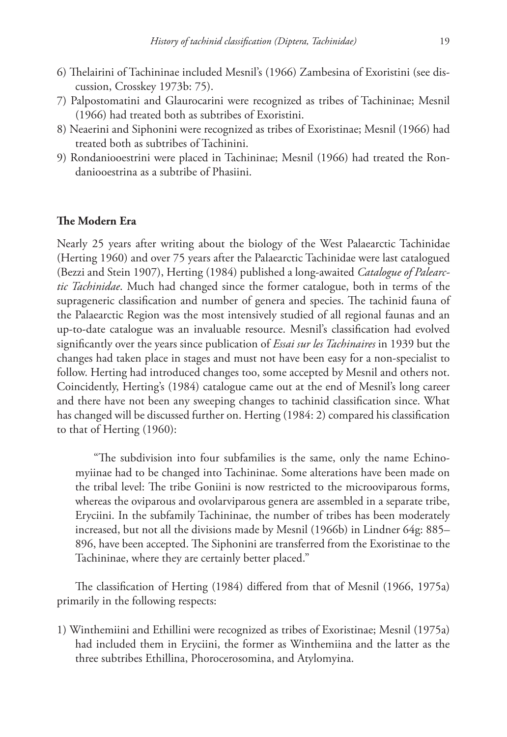- 6) Thelairini of Tachininae included Mesnil's (1966) Zambesina of Exoristini (see discussion, Crosskey 1973b: 75).
- 7) Palpostomatini and Glaurocarini were recognized as tribes of Tachininae; Mesnil (1966) had treated both as subtribes of Exoristini.
- 8) Neaerini and Siphonini were recognized as tribes of Exoristinae; Mesnil (1966) had treated both as subtribes of Tachinini.
- 9) Rondaniooestrini were placed in Tachininae; Mesnil (1966) had treated the Rondaniooestrina as a subtribe of Phasiini.

#### **The Modern Era**

Nearly 25 years after writing about the biology of the West Palaearctic Tachinidae (Herting 1960) and over 75 years after the Palaearctic Tachinidae were last catalogued (Bezzi and Stein 1907), Herting (1984) published a long-awaited *Catalogue of Palearctic Tachinidae*. Much had changed since the former catalogue, both in terms of the suprageneric classification and number of genera and species. The tachinid fauna of the Palaearctic Region was the most intensively studied of all regional faunas and an up-to-date catalogue was an invaluable resource. Mesnil's classification had evolved significantly over the years since publication of *Essai sur les Tachinaires* in 1939 but the changes had taken place in stages and must not have been easy for a non-specialist to follow. Herting had introduced changes too, some accepted by Mesnil and others not. Coincidently, Herting's (1984) catalogue came out at the end of Mesnil's long career and there have not been any sweeping changes to tachinid classification since. What has changed will be discussed further on. Herting (1984: 2) compared his classification to that of Herting (1960):

"The subdivision into four subfamilies is the same, only the name Echinomyiinae had to be changed into Tachininae. Some alterations have been made on the tribal level: The tribe Goniini is now restricted to the microoviparous forms, whereas the oviparous and ovolarviparous genera are assembled in a separate tribe, Eryciini. In the subfamily Tachininae, the number of tribes has been moderately increased, but not all the divisions made by Mesnil (1966b) in Lindner 64g: 885– 896, have been accepted. The Siphonini are transferred from the Exoristinae to the Tachininae, where they are certainly better placed."

The classification of Herting (1984) differed from that of Mesnil (1966, 1975a) primarily in the following respects:

1) Winthemiini and Ethillini were recognized as tribes of Exoristinae; Mesnil (1975a) had included them in Eryciini, the former as Winthemiina and the latter as the three subtribes Ethillina, Phorocerosomina, and Atylomyina.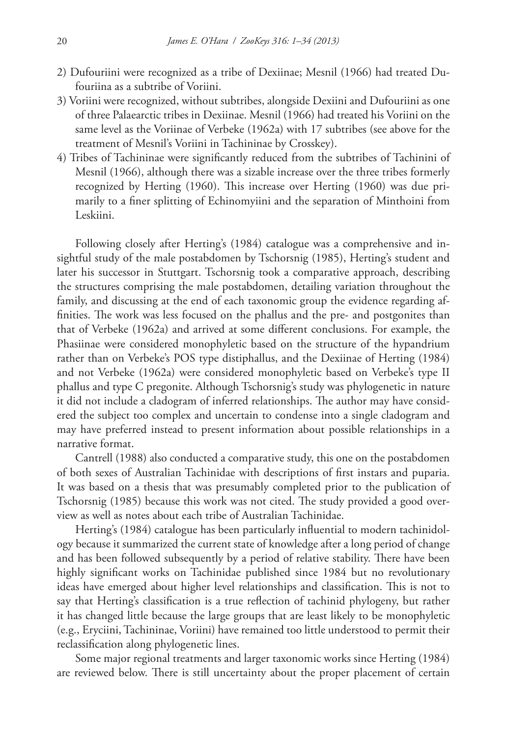- 2) Dufouriini were recognized as a tribe of Dexiinae; Mesnil (1966) had treated Dufouriina as a subtribe of Voriini.
- 3) Voriini were recognized, without subtribes, alongside Dexiini and Dufouriini as one of three Palaearctic tribes in Dexiinae. Mesnil (1966) had treated his Voriini on the same level as the Voriinae of Verbeke (1962a) with 17 subtribes (see above for the treatment of Mesnil's Voriini in Tachininae by Crosskey).
- 4) Tribes of Tachininae were significantly reduced from the subtribes of Tachinini of Mesnil (1966), although there was a sizable increase over the three tribes formerly recognized by Herting (1960). This increase over Herting (1960) was due primarily to a finer splitting of Echinomyiini and the separation of Minthoini from Leskiini.

Following closely after Herting's (1984) catalogue was a comprehensive and insightful study of the male postabdomen by Tschorsnig (1985), Herting's student and later his successor in Stuttgart. Tschorsnig took a comparative approach, describing the structures comprising the male postabdomen, detailing variation throughout the family, and discussing at the end of each taxonomic group the evidence regarding affinities. The work was less focused on the phallus and the pre- and postgonites than that of Verbeke (1962a) and arrived at some different conclusions. For example, the Phasiinae were considered monophyletic based on the structure of the hypandrium rather than on Verbeke's POS type distiphallus, and the Dexiinae of Herting (1984) and not Verbeke (1962a) were considered monophyletic based on Verbeke's type II phallus and type C pregonite. Although Tschorsnig's study was phylogenetic in nature it did not include a cladogram of inferred relationships. The author may have considered the subject too complex and uncertain to condense into a single cladogram and may have preferred instead to present information about possible relationships in a narrative format.

Cantrell (1988) also conducted a comparative study, this one on the postabdomen of both sexes of Australian Tachinidae with descriptions of first instars and puparia. It was based on a thesis that was presumably completed prior to the publication of Tschorsnig (1985) because this work was not cited. The study provided a good overview as well as notes about each tribe of Australian Tachinidae.

Herting's (1984) catalogue has been particularly influential to modern tachinidology because it summarized the current state of knowledge after a long period of change and has been followed subsequently by a period of relative stability. There have been highly significant works on Tachinidae published since 1984 but no revolutionary ideas have emerged about higher level relationships and classification. This is not to say that Herting's classification is a true reflection of tachinid phylogeny, but rather it has changed little because the large groups that are least likely to be monophyletic (e.g., Eryciini, Tachininae, Voriini) have remained too little understood to permit their reclassification along phylogenetic lines.

Some major regional treatments and larger taxonomic works since Herting (1984) are reviewed below. There is still uncertainty about the proper placement of certain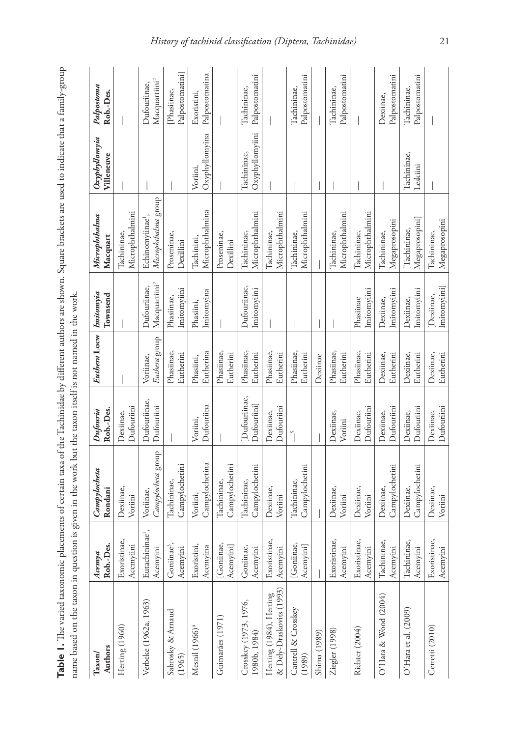| 5<br>1<br>1<br>$+211100$<br>١                                             |                                                                                                                               |
|---------------------------------------------------------------------------|-------------------------------------------------------------------------------------------------------------------------------|
|                                                                           |                                                                                                                               |
|                                                                           |                                                                                                                               |
|                                                                           |                                                                                                                               |
|                                                                           |                                                                                                                               |
| 77.1777777777777                                                          |                                                                                                                               |
|                                                                           |                                                                                                                               |
|                                                                           |                                                                                                                               |
|                                                                           |                                                                                                                               |
|                                                                           |                                                                                                                               |
|                                                                           |                                                                                                                               |
| vert out out of changed that and contained in our<br>$\ddot{\phantom{a}}$ |                                                                                                                               |
|                                                                           | :                                                                                                                             |
|                                                                           |                                                                                                                               |
|                                                                           |                                                                                                                               |
| Ş                                                                         |                                                                                                                               |
| a hy different ou                                                         |                                                                                                                               |
|                                                                           | $\frac{1}{2}$ , $\frac{1}{2}$ , $\frac{1}{2}$ , $\frac{1}{2}$ , $\frac{1}{2}$ , $\frac{1}{2}$ , $\frac{1}{2}$ , $\frac{1}{2}$ |
| <b>CHAIN</b><br>י<br>י                                                    |                                                                                                                               |
| $\mathbf{r}$                                                              |                                                                                                                               |
|                                                                           | はくしくし くらし しょう                                                                                                                 |
| rain rain a                                                               |                                                                                                                               |
|                                                                           |                                                                                                                               |
|                                                                           |                                                                                                                               |
| no amente ot cert                                                         | ion is given in the work                                                                                                      |
| ١                                                                         |                                                                                                                               |
|                                                                           | i                                                                                                                             |
| ١<br>ţ                                                                    | ļ                                                                                                                             |
| l                                                                         | i<br>י<br>ו                                                                                                                   |
|                                                                           | j                                                                                                                             |
| ï                                                                         | Ï<br>i                                                                                                                        |
|                                                                           | ֚֘                                                                                                                            |
|                                                                           |                                                                                                                               |

| Table 1. The varied taxonomic placements of certain taxa of the Tachinidae by different authors are shown. Square brackets are used to indicate that a family-group<br>name based on the taxon in question is given in the work but the taxon itself is not named in the work. |                                         |                                 |                            |                            |                                           |                                                     |                                |                                           |
|--------------------------------------------------------------------------------------------------------------------------------------------------------------------------------------------------------------------------------------------------------------------------------|-----------------------------------------|---------------------------------|----------------------------|----------------------------|-------------------------------------------|-----------------------------------------------------|--------------------------------|-------------------------------------------|
| Authors<br>Taxon                                                                                                                                                                                                                                                               | Rob.-Des.<br>Acenya                     | Campylocheta<br>Rondani         | Rob.-Des.<br>Dufouria      | Euthera Loew   Imitomyia   | Townsend                                  | Microphthalma<br>Macquart                           | Oxyphyllomyia<br>Villeneuve    | Palpostoma<br>Rob.-Des.                   |
| Herting (1960)                                                                                                                                                                                                                                                                 | Exoristinae,<br>Acemyiini               | Dexiinae,<br>Voriini            | Dufouriini<br>Dexiinae,    |                            |                                           | Microphthalmini<br>Tachininae,                      |                                |                                           |
| Verbeke (1962a, 1963)                                                                                                                                                                                                                                                          | Eutachininae <sup>1</sup> ,<br>Acemyini | Campylocheta group<br>Voriinae, | Dufouriinae,<br>Dufouriini | Euthera group<br>Voriinae, | Macquartiini <sup>2</sup><br>Dufouriinae, | Microphthalma group<br>Echinomyiinae <sup>1</sup> , |                                | Macquartiini <sup>2</sup><br>Dufouriinae, |
| Sabrosky & Arnaud<br>(1965)                                                                                                                                                                                                                                                    | Goniinae <sup>3</sup> ,<br>Acemyini     | Campylochetini<br>Tachininae,   |                            | Phasiinae,<br>Eutherini    | Imitomyiini<br>Phasiinae,                 | Proseninae,<br>Dexillini                            |                                | Palpostomatini]<br>[Phasiinae,            |
| Mesnil (1966) <sup>4</sup>                                                                                                                                                                                                                                                     | Exoristini,<br>Acemyina                 | Campylochetina<br>Voriini,      | Dufouriina<br>Voriini,     | Eutherina<br>Phasiini,     | Imitomyina<br>Phasiini,                   | Microphthalmina<br>Tachinini,                       | Oxyphyllomyina<br>Voriini,     | Palpostomatina<br>Exoristini,             |
| Guimaráes (1971)                                                                                                                                                                                                                                                               | [Goniinae,<br>Acemyini]                 | Campylochetini<br>Tachininae,   |                            | Phasiinae,<br>Eutherini    |                                           | Proseninae,<br>Dexillini                            |                                |                                           |
| Crosskey (1973, 1976,<br>1980b, 1984)                                                                                                                                                                                                                                          | Goniinae,<br>Acemyini                   | Campylochetini<br>Tachininae,   | Dufouriinae,<br>Dufouriini | Phasiinae,<br>Eutherini    | Dufouriinae,<br>Imitomyiini               | Microphthalmini<br>Tachininae,                      | Oxyphyllomyiini<br>Tachininae, | Palpostomatini<br>Tachininae,             |
| & Dely-Draskovits (1993)<br>Herting (1984), Herting                                                                                                                                                                                                                            | Exoristinae,<br>Acemyini                | Dexiinae,<br>Voriini            | Dufouriini<br>Dexiinae,    | Phasiinae,<br>Eutherini    |                                           | Microphthalmini<br>Tachininae,                      |                                |                                           |
| Cantrell & Crosskey<br>(1989)                                                                                                                                                                                                                                                  | [Goniinae,<br>Acemyini]                 | Campylochetini<br>Tachininae,   |                            | Phasiinae,<br>Eutherini    |                                           | Microphthalmini<br>Tachininae,                      |                                | Palpostomatini<br>Tachininae,             |
| Shima (1989)                                                                                                                                                                                                                                                                   |                                         |                                 |                            | Dexiinae                   |                                           |                                                     |                                |                                           |
| Ziegler (1998)                                                                                                                                                                                                                                                                 | Exoristinae,<br>Acemyini                | Dexiinae,<br>Voriini            | Dexiinae,<br>Voriini       | Phasiinae,<br>Eutherini    |                                           | Microphthalmini<br>Tachininae,                      |                                | Palpostomatini<br>Tachininae,             |
| Richter (2004)                                                                                                                                                                                                                                                                 | Exoristinae,<br>Acemyini                | Dexiinae,<br>Voriini            | Dufouriini<br>Dexiinae,    | Phasiinae,<br>Eutherini    | Imitomyiini<br>Phasiinae                  | Microphthalmini<br>Tachininae,                      |                                |                                           |
| O'Hara & Wood (2004)                                                                                                                                                                                                                                                           | Tachininae,<br>Acemyini                 | Campylochetini<br>Dexiinae,     | Dufouriini<br>Dexiinae,    | Dexiinae,<br>Eutherini     | Imitomyiini<br>Dexiinae,                  | Megaprosopini<br>Tachininae,                        |                                | Palpostomatini<br>Dexiinae,               |
| O'Hara et al. (2009)                                                                                                                                                                                                                                                           | Tachininae,<br>Acemyini                 | Campylochetini<br>Dexiinae,     | Dufouriini<br>Dexiinae,    | Eutherini<br>Dexiinae,     | Imitomyiini<br>Dexiinae,                  | Megaprosopini]<br>[Tachininae,                      | Tachininae,<br>Leskiini        | Palpostomatini<br>Tachininae,             |
| Cerretti (2010)                                                                                                                                                                                                                                                                | Exoristinae,<br>Acemyini                | Dexiinae,<br>Voriini            | Dufouriini<br>Dexiinae,    | Dexiinae,<br>Eutherini     | Imitomyiini]<br>Dexiinae,                 | Megaprosopini<br>Tachininae,                        |                                |                                           |

# *History of tachinid classification (Diptera, Tachinidae)* 21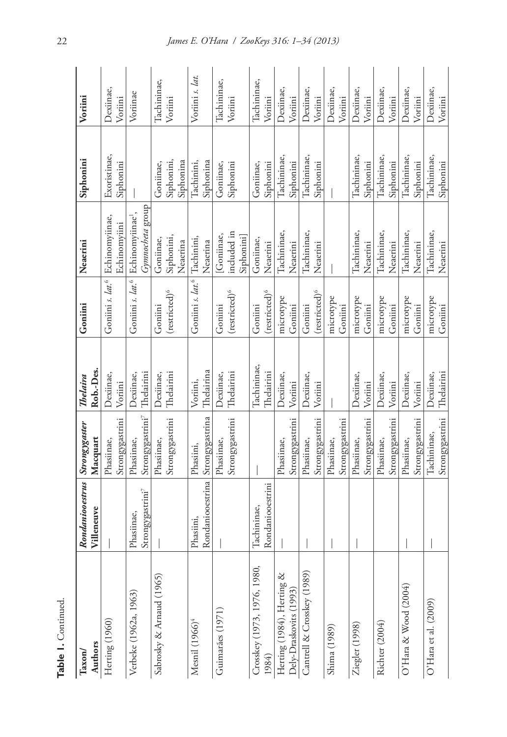| Table 1. Continued                                     |                                               |                                            |                                  |                                         |                                                                               |                                      |                        |
|--------------------------------------------------------|-----------------------------------------------|--------------------------------------------|----------------------------------|-----------------------------------------|-------------------------------------------------------------------------------|--------------------------------------|------------------------|
| Authors<br>Taxon/                                      | Rondaniooestrus<br>Villeneuve                 | Strongygaster<br>Macquart                  | Rob.-Des.<br>Thelaira            | Goniini                                 | Neaerini                                                                      | Siphonini                            | Voriini                |
| Herting (1960)                                         |                                               | Strongygastrini<br>Phasiinae,              | Dexiinae,<br>Voriini             |                                         | Goniini s. lat. <sup>6</sup> Echinomyiinae,<br>Echinomyiini                   | Exoristinae,<br>Siphonini            | Dexiinae,<br>Voriini   |
| Verbeke (1962a, 1963)                                  | Strongygastrini <sup>7</sup><br>Phasiinae,    | Strongygastrini <sup>7</sup><br>Phasiinae, | Thelairini<br>Dexiinae,          |                                         | Gymnocheta group<br>Goniini s. lat. <sup>6</sup> Echinomyiinae <sup>1</sup> , |                                      | Voriinae               |
| Sabrosky & Arnaud (1965)                               |                                               | Strongygastrini<br>Phasiinae,              | Thelairini<br>Dexiinae,          | $(r$ estricted) <sup>6</sup><br>Goniini | Siphonini,<br>Goniinae,<br>Neaerina                                           | Siphonini,<br>Siphonina<br>Goniinae, | Tachininae,<br>Voriini |
| Mesnil (1966) <sup>4</sup>                             | Rondaniooestrina Strongygastrina<br>Phasiini, | Phasiini,                                  | Thelairina<br>Voriini,           | Goniini s. lat. <sup>6</sup> Tachinini, | Neaerina                                                                      | Siphonina<br>Tachinini,              | Voriini s. lat.        |
| Guimarães (1971)                                       |                                               | Strongygastrini<br>Phasiinae,              | Thelairini<br>Dexiinae,          | $(\text{restricted})^6$<br>Goniini      | included in<br>[Goniinae,<br>Siphonini]                                       | Goniinae,<br>Siphonini               | Tachininae,<br>Voriini |
| Crosskey (1973, 1976, 1980,<br>1984)                   | Rondaniooestrini<br>Tachininae,               |                                            | Tachininae,<br><b>Thelairini</b> | (restricted) <sup>6</sup><br>Goniini    | Goniinae,<br>Neaerini                                                         | Goniinae,<br>Siphonini               | Tachininae,<br>Voriini |
| Herting (1984), Herting $\&$<br>Dely-Draskovits (1993) |                                               | Strongygastrini<br>Phasiinae,              | Dexiinae,<br>Voriini             | microtype<br>Goniini                    | Tachininae,<br>Neaerini                                                       | Tachininae,<br>Siphonini             | Dexiinae,<br>Voriini   |
| Cantrell & Crosskey (1989)                             |                                               | Strongygastrini<br>Phasiinae,              | Dexiinae,<br>Voriini             | (restricted) <sup>6</sup><br>Goniini    | Tachininae,<br>Neaerini                                                       | Tachininae,<br>Siphonini             | Dexiinae,<br>Voriini   |
| Shima (1989)                                           |                                               | Strongygastrini<br>Phasiinae,              |                                  | microtype<br>Goniini                    |                                                                               |                                      | Dexiinae,<br>Voriini   |
| Ziegler (1998)                                         |                                               | Strongygastrini<br>Phasiinae,              | Dexiinae,<br>Voriini             | microtype<br>Goniini                    | Tachininae,<br>Neaerini                                                       | Tachininae,<br>Siphonini             | Dexiinae,<br>Voriini   |
| Richter (2004)                                         |                                               | Strongygastrini<br>Phasiinae,              | Dexiinae,<br>Voriini             | microtype<br>Goniini                    | Tachininae,<br>Neaerini                                                       | Tachininae,<br>Siphonini             | Dexiinae,<br>Voriini   |
| O'Hara & Wood (2004)                                   |                                               | Strongygastrini<br>Phasiinae,              | Dexiinae,<br>Voriini             | microtype<br>Goniini                    | Tachininae,<br>Neaerini                                                       | Tachininae,<br>Siphonini             | Dexiinae,<br>Voriini   |
| O'Hara et al. (2009)                                   |                                               | Strongygastrini<br>Tachininae,             | Thelairini<br>Dexiinae,          | microtype<br>Goniini                    | Tachininae,<br>Neaerini                                                       | Tachininae,<br>Siphonini             | Dexiinae,<br>Voriini   |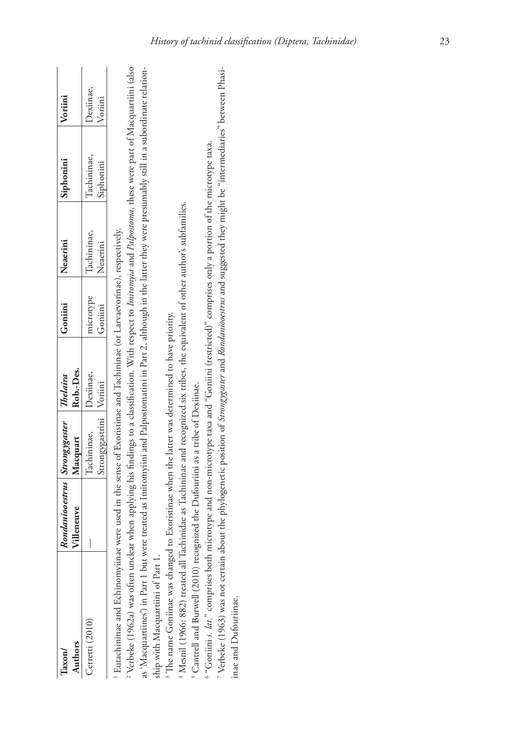| Authors<br>$\rm {Taxon}$                                                                                                                                                                                                                                                                                               | Rondaniooestrus   Strongygaster<br>/illeneuve | Macquart                                 | Rob.-Des.<br>Thelaira | Goniini              | Neaerini                | Siphonini                | Voriini              |
|------------------------------------------------------------------------------------------------------------------------------------------------------------------------------------------------------------------------------------------------------------------------------------------------------------------------|-----------------------------------------------|------------------------------------------|-----------------------|----------------------|-------------------------|--------------------------|----------------------|
| Cerretti (2010)                                                                                                                                                                                                                                                                                                        |                                               | Strongygastrini   Voriini<br>Tachininae, | Dexiinae,             | microtype<br>Goniini | Tachininae,<br>Neaerini | Tachininae,<br>Siphonini | Dexiinae,<br>Voriini |
| <sup>2</sup> Verbeke (1962a) was often unclear when applying his findings to a classification. With respect to <i>Imitomyia</i> and <i>Padpostoma</i> , these were part of Macquartiini (also<br>Eutachininae and Echinomyiinae were used in the sense of Exoristinae and Tachininae (or Larvaevorinae), respectively. |                                               |                                          |                       |                      |                         |                          |                      |
| as 'Macquartiines') in Part 1 but were treated as Imitomyiini and Palpostomatini in Part 2, although in the latter they were presumably still in a subordinate relation-<br>ship with Macquartiini of Part 1.                                                                                                          |                                               |                                          |                       |                      |                         |                          |                      |
| <sup>4</sup> Mesnil (1966: 882) treated all Tachinidae as Tachininae and recognized six tribes, the equivalent of other author's subfamilies.<br><sup>3</sup> The name Goniinae was changed to Exoristinae when the latter was determined to have priotity.                                                            |                                               |                                          |                       |                      |                         |                          |                      |
| 6 "Goniini s. lat." comprises both microtype and non-microtype taxa and "Goniini (restricted)" comprises only a portion of the microtype taxa.<br><sup>5</sup> Cantrell and Burwell (2010) recognized the Dufouriini as a tribe of Dexiinae.                                                                           |                                               |                                          |                       |                      |                         |                          |                      |
| <sup>7</sup> Verbeke (1963) was not certain about the phylogenetic position of <i>Strøngygaster</i> and <i>Rondaniooestrus</i> and suggested they might be "intermediaries" between Phasi-<br>inae and Dufouriinae.                                                                                                    |                                               |                                          |                       |                      |                         |                          |                      |
|                                                                                                                                                                                                                                                                                                                        |                                               |                                          |                       |                      |                         |                          |                      |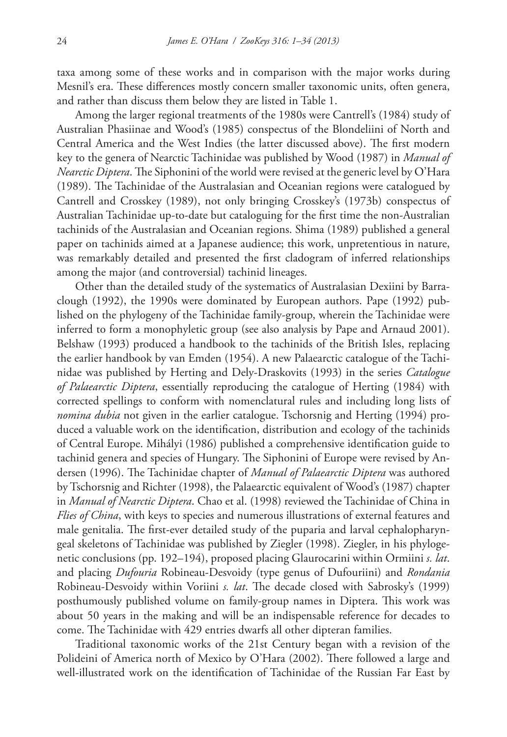taxa among some of these works and in comparison with the major works during Mesnil's era. These differences mostly concern smaller taxonomic units, often genera, and rather than discuss them below they are listed in Table 1.

Among the larger regional treatments of the 1980s were Cantrell's (1984) study of Australian Phasiinae and Wood's (1985) conspectus of the Blondeliini of North and Central America and the West Indies (the latter discussed above). The first modern key to the genera of Nearctic Tachinidae was published by Wood (1987) in *Manual of Nearctic Diptera*. The Siphonini of the world were revised at the generic level by O'Hara (1989). The Tachinidae of the Australasian and Oceanian regions were catalogued by Cantrell and Crosskey (1989), not only bringing Crosskey's (1973b) conspectus of Australian Tachinidae up-to-date but cataloguing for the first time the non-Australian tachinids of the Australasian and Oceanian regions. Shima (1989) published a general paper on tachinids aimed at a Japanese audience; this work, unpretentious in nature, was remarkably detailed and presented the first cladogram of inferred relationships among the major (and controversial) tachinid lineages.

Other than the detailed study of the systematics of Australasian Dexiini by Barraclough (1992), the 1990s were dominated by European authors. Pape (1992) published on the phylogeny of the Tachinidae family-group, wherein the Tachinidae were inferred to form a monophyletic group (see also analysis by Pape and Arnaud 2001). Belshaw (1993) produced a handbook to the tachinids of the British Isles, replacing the earlier handbook by van Emden (1954). A new Palaearctic catalogue of the Tachinidae was published by Herting and Dely-Draskovits (1993) in the series *Catalogue of Palaearctic Diptera*, essentially reproducing the catalogue of Herting (1984) with corrected spellings to conform with nomenclatural rules and including long lists of *nomina dubia* not given in the earlier catalogue. Tschorsnig and Herting (1994) produced a valuable work on the identification, distribution and ecology of the tachinids of Central Europe. Mihályi (1986) published a comprehensive identification guide to tachinid genera and species of Hungary. The Siphonini of Europe were revised by Andersen (1996). The Tachinidae chapter of *Manual of Palaearctic Diptera* was authored by Tschorsnig and Richter (1998), the Palaearctic equivalent of Wood's (1987) chapter in *Manual of Nearctic Diptera*. Chao et al. (1998) reviewed the Tachinidae of China in *Flies of China*, with keys to species and numerous illustrations of external features and male genitalia. The first-ever detailed study of the puparia and larval cephalopharyngeal skeletons of Tachinidae was published by Ziegler (1998). Ziegler, in his phylogenetic conclusions (pp. 192–194), proposed placing Glaurocarini within Ormiini *s. lat*. and placing *Dufouria* Robineau-Desvoidy (type genus of Dufouriini) and *Rondania* Robineau-Desvoidy within Voriini *s. lat*. The decade closed with Sabrosky's (1999) posthumously published volume on family-group names in Diptera. This work was about 50 years in the making and will be an indispensable reference for decades to come. The Tachinidae with 429 entries dwarfs all other dipteran families.

Traditional taxonomic works of the 21st Century began with a revision of the Polideini of America north of Mexico by O'Hara (2002). There followed a large and well-illustrated work on the identification of Tachinidae of the Russian Far East by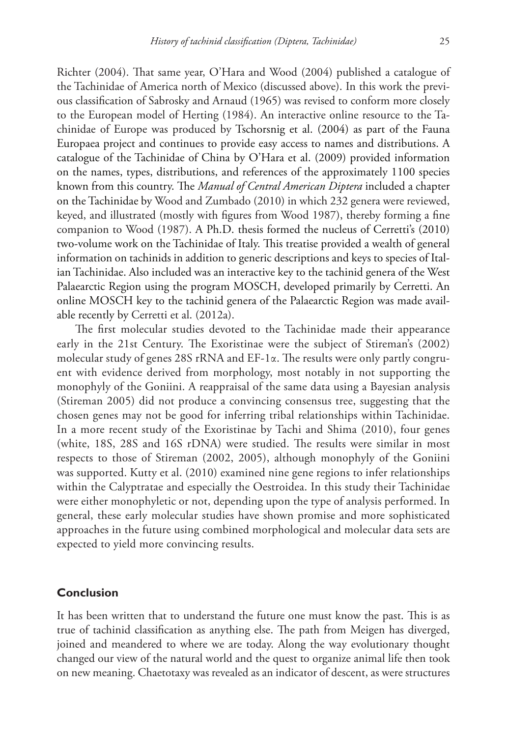Richter (2004). That same year, O'Hara and Wood (2004) published a catalogue of the Tachinidae of America north of Mexico (discussed above). In this work the previous classification of Sabrosky and Arnaud (1965) was revised to conform more closely to the European model of Herting (1984). An interactive online resource to the Tachinidae of Europe was produced by Tschorsnig et al. (2004) as part of the Fauna Europaea project and continues to provide easy access to names and distributions. A catalogue of the Tachinidae of China by O'Hara et al. (2009) provided information on the names, types, distributions, and references of the approximately 1100 species known from this country. The *Manual of Central American Diptera* included a chapter on the Tachinidae by Wood and Zumbado (2010) in which 232 genera were reviewed, keyed, and illustrated (mostly with figures from Wood 1987), thereby forming a fine companion to Wood (1987). A Ph.D. thesis formed the nucleus of Cerretti's (2010) two-volume work on the Tachinidae of Italy. This treatise provided a wealth of general information on tachinids in addition to generic descriptions and keys to species of Italian Tachinidae. Also included was an interactive key to the tachinid genera of the West Palaearctic Region using the program MOSCH, developed primarily by Cerretti. An online MOSCH key to the tachinid genera of the Palaearctic Region was made available recently by Cerretti et al. (2012a).

The first molecular studies devoted to the Tachinidae made their appearance early in the 21st Century. The Exoristinae were the subject of Stireman's (2002) molecular study of genes 28S rRNA and EF-1α. The results were only partly congruent with evidence derived from morphology, most notably in not supporting the monophyly of the Goniini. A reappraisal of the same data using a Bayesian analysis (Stireman 2005) did not produce a convincing consensus tree, suggesting that the chosen genes may not be good for inferring tribal relationships within Tachinidae. In a more recent study of the Exoristinae by Tachi and Shima (2010), four genes (white, 18S, 28S and 16S rDNA) were studied. The results were similar in most respects to those of Stireman (2002, 2005), although monophyly of the Goniini was supported. Kutty et al. (2010) examined nine gene regions to infer relationships within the Calyptratae and especially the Oestroidea. In this study their Tachinidae were either monophyletic or not, depending upon the type of analysis performed. In general, these early molecular studies have shown promise and more sophisticated approaches in the future using combined morphological and molecular data sets are expected to yield more convincing results.

# **Conclusion**

It has been written that to understand the future one must know the past. This is as true of tachinid classification as anything else. The path from Meigen has diverged, joined and meandered to where we are today. Along the way evolutionary thought changed our view of the natural world and the quest to organize animal life then took on new meaning. Chaetotaxy was revealed as an indicator of descent, as were structures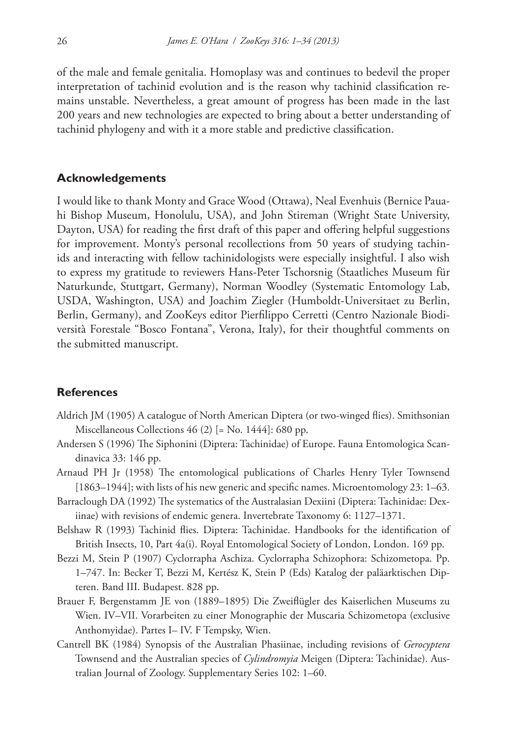of the male and female genitalia. Homoplasy was and continues to bedevil the proper interpretation of tachinid evolution and is the reason why tachinid classification remains unstable. Nevertheless, a great amount of progress has been made in the last 200 years and new technologies are expected to bring about a better understanding of tachinid phylogeny and with it a more stable and predictive classification.

#### **Acknowledgements**

I would like to thank Monty and Grace Wood (Ottawa), Neal Evenhuis (Bernice Pauahi Bishop Museum, Honolulu, USA), and John Stireman (Wright State University, Dayton, USA) for reading the first draft of this paper and offering helpful suggestions for improvement. Monty's personal recollections from 50 years of studying tachinids and interacting with fellow tachinidologists were especially insightful. I also wish to express my gratitude to reviewers Hans-Peter Tschorsnig (Staatliches Museum für Naturkunde, Stuttgart, Germany), Norman Woodley (Systematic Entomology Lab, USDA, Washington, USA) and Joachim Ziegler (Humboldt-Universitaet zu Berlin, Berlin, Germany), and ZooKeys editor Pierfilippo Cerretti (Centro Nazionale Biodiversità Forestale "Bosco Fontana", Verona, Italy), for their thoughtful comments on the submitted manuscript.

## **References**

- Aldrich JM (1905) A catalogue of North American Diptera (or two-winged flies). Smithsonian Miscellaneous Collections 46 (2) [= No. 1444]: 680 pp.
- Andersen S (1996) The Siphonini (Diptera: Tachinidae) of Europe. Fauna Entomologica Scandinavica 33: 146 pp.
- Arnaud PH Jr (1958) The entomological publications of Charles Henry Tyler Townsend [1863–1944]; with lists of his new generic and specific names. Microentomology 23: 1–63.
- Barraclough DA (1992) The systematics of the Australasian Dexiini (Diptera: Tachinidae: Dexiinae) with revisions of endemic genera. Invertebrate Taxonomy 6: 1127–1371.
- Belshaw R (1993) Tachinid flies. Diptera: Tachinidae. Handbooks for the identification of British Insects, 10, Part 4a(i). Royal Entomological Society of London, London. 169 pp.
- Bezzi M, Stein P (1907) Cyclorrapha Aschiza. Cyclorrapha Schizophora: Schizometopa. Pp. 1–747. In: Becker T, Bezzi M, Kertész K, Stein P (Eds) Katalog der paläarktischen Dipteren. Band III. Budapest. 828 pp.
- Brauer F, Bergenstamm JE von (1889–1895) Die Zweiflügler des Kaiserlichen Museums zu Wien. IV–VII. Vorarbeiten zu einer Monographie der Muscaria Schizometopa (exclusive Anthomyidae). Partes I– IV. F Tempsky, Wien.
- Cantrell BK (1984) Synopsis of the Australian Phasiinae, including revisions of *Gerocyptera* Townsend and the Australian species of *Cylindromyia* Meigen (Diptera: Tachinidae). Australian Journal of Zoology. Supplementary Series 102: 1–60.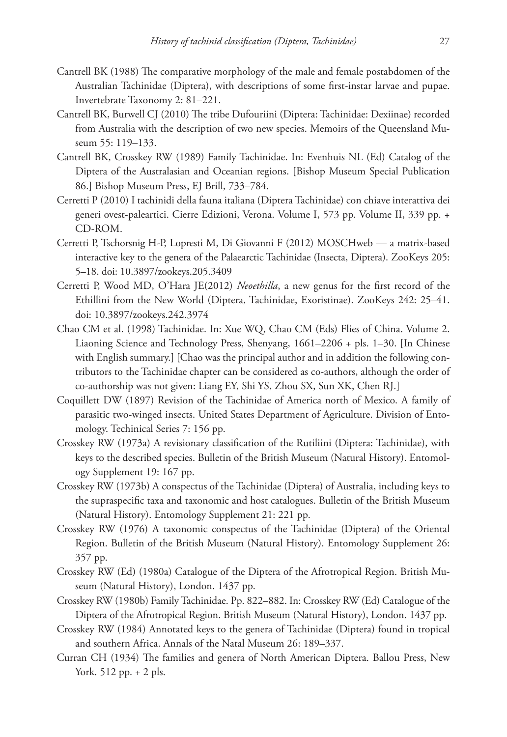- Cantrell BK (1988) The comparative morphology of the male and female postabdomen of the Australian Tachinidae (Diptera), with descriptions of some first-instar larvae and pupae. Invertebrate Taxonomy 2: 81–221.
- Cantrell BK, Burwell CJ (2010) The tribe Dufouriini (Diptera: Tachinidae: Dexiinae) recorded from Australia with the description of two new species. Memoirs of the Queensland Museum 55: 119–133.
- Cantrell BK, Crosskey RW (1989) Family Tachinidae. In: Evenhuis NL (Ed) Catalog of the Diptera of the Australasian and Oceanian regions. [Bishop Museum Special Publication 86.] Bishop Museum Press, EJ Brill, 733–784.
- Cerretti P (2010) I tachinidi della fauna italiana (Diptera Tachinidae) con chiave interattiva dei generi ovest-paleartici. Cierre Edizioni, Verona. Volume I, 573 pp. Volume II, 339 pp. + CD-ROM.
- Cerretti P, Tschorsnig H-P, Lopresti M, Di Giovanni F (2012) MOSCHweb a matrix-based interactive key to the genera of the Palaearctic Tachinidae (Insecta, Diptera). ZooKeys 205: 5–18. [doi: 10.3897/zookeys.205.3409](http://dx.doi.org/10.3897/zookeys.205.3409)
- Cerretti P, Wood MD, O'Hara JE(2012) *Neoethilla*, a new genus for the first record of the Ethillini from the New World (Diptera, Tachinidae, Exoristinae). ZooKeys 242: 25–41. [doi: 10.3897/zookeys.242.3974](http://dx.doi.org/10.3897/zookeys.242.3974)
- Chao CM et al. (1998) Tachinidae. In: Xue WQ, Chao CM (Eds) Flies of China. Volume 2. Liaoning Science and Technology Press, Shenyang, 1661–2206 + pls. 1–30. [In Chinese with English summary.] [Chao was the principal author and in addition the following contributors to the Tachinidae chapter can be considered as co-authors, although the order of co-authorship was not given: Liang EY, Shi YS, Zhou SX, Sun XK, Chen RJ.]
- Coquillett DW (1897) Revision of the Tachinidae of America north of Mexico. A family of parasitic two-winged insects. United States Department of Agriculture. Division of Entomology. Techinical Series 7: 156 pp.
- Crosskey RW (1973a) A revisionary classification of the Rutiliini (Diptera: Tachinidae), with keys to the described species. Bulletin of the British Museum (Natural History). Entomology Supplement 19: 167 pp.
- Crosskey RW (1973b) A conspectus of the Tachinidae (Diptera) of Australia, including keys to the supraspecific taxa and taxonomic and host catalogues. Bulletin of the British Museum (Natural History). Entomology Supplement 21: 221 pp.
- Crosskey RW (1976) A taxonomic conspectus of the Tachinidae (Diptera) of the Oriental Region. Bulletin of the British Museum (Natural History). Entomology Supplement 26: 357 pp.
- Crosskey RW (Ed) (1980a) Catalogue of the Diptera of the Afrotropical Region. British Museum (Natural History), London. 1437 pp.
- Crosskey RW (1980b) Family Tachinidae. Pp. 822–882. In: Crosskey RW (Ed) Catalogue of the Diptera of the Afrotropical Region. British Museum (Natural History), London. 1437 pp.
- Crosskey RW (1984) Annotated keys to the genera of Tachinidae (Diptera) found in tropical and southern Africa. Annals of the Natal Museum 26: 189–337.
- Curran CH (1934) The families and genera of North American Diptera. Ballou Press, New York. 512 pp. + 2 pls.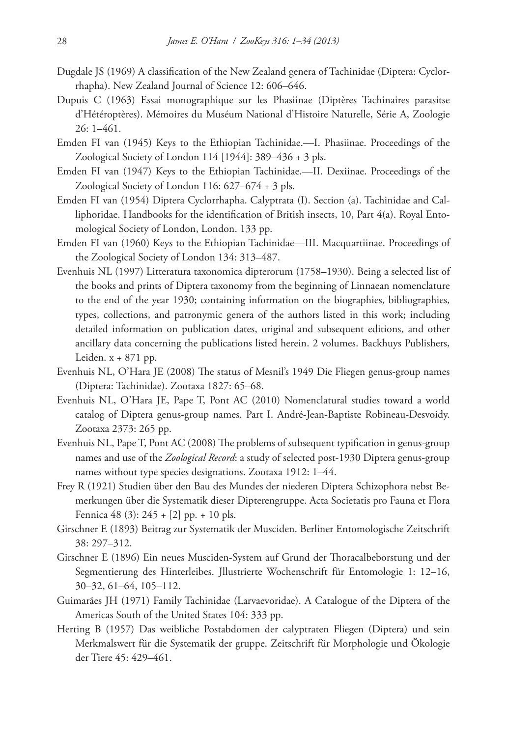- Dugdale JS (1969) A classification of the New Zealand genera of Tachinidae (Diptera: Cyclorrhapha). New Zealand Journal of Science 12: 606–646.
- Dupuis C (1963) Essai monographique sur les Phasiinae (Diptères Tachinaires parasitse d'Hétéroptères). Mémoires du Muséum National d'Histoire Naturelle, Série A, Zoologie 26: 1–461.
- Emden FI van (1945) Keys to the Ethiopian Tachinidae.—I. Phasiinae. Proceedings of the Zoological Society of London 114 [1944]: 389–436 + 3 pls.
- Emden FI van (1947) Keys to the Ethiopian Tachinidae.—II. Dexiinae. Proceedings of the Zoological Society of London 116: 627–674 + 3 pls.
- Emden FI van (1954) Diptera Cyclorrhapha. Calyptrata (I). Section (a). Tachinidae and Calliphoridae. Handbooks for the identification of British insects, 10, Part 4(a). Royal Entomological Society of London, London. 133 pp.
- Emden FI van (1960) Keys to the Ethiopian Tachinidae—III. Macquartiinae. Proceedings of the Zoological Society of London 134: 313–487.
- Evenhuis NL (1997) Litteratura taxonomica dipterorum (1758–1930). Being a selected list of the books and prints of Diptera taxonomy from the beginning of Linnaean nomenclature to the end of the year 1930; containing information on the biographies, bibliographies, types, collections, and patronymic genera of the authors listed in this work; including detailed information on publication dates, original and subsequent editions, and other ancillary data concerning the publications listed herein. 2 volumes. Backhuys Publishers, Leiden.  $x + 871$  pp.
- Evenhuis NL, O'Hara JE (2008) The status of Mesnil's 1949 Die Fliegen genus-group names (Diptera: Tachinidae). Zootaxa 1827: 65–68.
- Evenhuis NL, O'Hara JE, Pape T, Pont AC (2010) Nomenclatural studies toward a world catalog of Diptera genus-group names. Part I. André-Jean-Baptiste Robineau-Desvoidy. Zootaxa 2373: 265 pp.
- Evenhuis NL, Pape T, Pont AC (2008) The problems of subsequent typification in genus-group names and use of the *Zoological Record*: a study of selected post-1930 Diptera genus-group names without type species designations. Zootaxa 1912: 1–44.
- Frey R (1921) Studien über den Bau des Mundes der niederen Diptera Schizophora nebst Bemerkungen über die Systematik dieser Dipterengruppe. Acta Societatis pro Fauna et Flora Fennica 48 (3): 245 + [2] pp. + 10 pls.
- Girschner E (1893) Beitrag zur Systematik der Musciden. Berliner Entomologische Zeitschrift 38: 297–312.
- Girschner E (1896) Ein neues Musciden-System auf Grund der Thoracalbeborstung und der Segmentierung des Hinterleibes. Jllustrierte Wochenschrift für Entomologie 1: 12–16, 30–32, 61–64, 105–112.
- Guimarães JH (1971) Family Tachinidae (Larvaevoridae). A Catalogue of the Diptera of the Americas South of the United States 104: 333 pp.
- Herting B (1957) Das weibliche Postabdomen der calyptraten Fliegen (Diptera) und sein Merkmalswert für die Systematik der gruppe. Zeitschrift für Morphologie und Ökologie der Tiere 45: 429–461.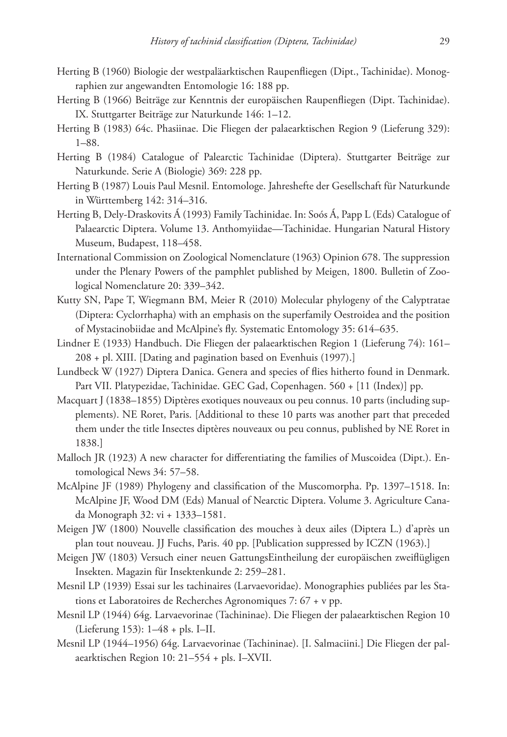- Herting B (1960) Biologie der westpaläarktischen Raupenfliegen (Dipt., Tachinidae). Monographien zur angewandten Entomologie 16: 188 pp.
- Herting B (1966) Beiträge zur Kenntnis der europäischen Raupenfliegen (Dipt. Tachinidae). IX. Stuttgarter Beiträge zur Naturkunde 146: 1–12.
- Herting B (1983) 64c. Phasiinae. Die Fliegen der palaearktischen Region 9 (Lieferung 329): 1–88.
- Herting B (1984) Catalogue of Palearctic Tachinidae (Diptera). Stuttgarter Beiträge zur Naturkunde. Serie A (Biologie) 369: 228 pp.
- Herting B (1987) Louis Paul Mesnil. Entomologe. Jahreshefte der Gesellschaft für Naturkunde in Württemberg 142: 314–316.
- Herting B, Dely-Draskovits Á (1993) Family Tachinidae. In: Soós Á, Papp L (Eds) Catalogue of Palaearctic Diptera. Volume 13. Anthomyiidae—Tachinidae. Hungarian Natural History Museum, Budapest, 118–458.
- International Commission on Zoological Nomenclature (1963) Opinion 678. The suppression under the Plenary Powers of the pamphlet published by Meigen, 1800. Bulletin of Zoological Nomenclature 20: 339–342.
- Kutty SN, Pape T, Wiegmann BM, Meier R (2010) Molecular phylogeny of the Calyptratae (Diptera: Cyclorrhapha) with an emphasis on the superfamily Oestroidea and the position of Mystacinobiidae and McAlpine's fly. Systematic Entomology 35: 614–635.
- Lindner E (1933) Handbuch. Die Fliegen der palaearktischen Region 1 (Lieferung 74): 161– 208 + pl. XIII. [Dating and pagination based on Evenhuis (1997).]
- Lundbeck W (1927) Diptera Danica. Genera and species of flies hitherto found in Denmark. Part VII. Platypezidae, Tachinidae. GEC Gad, Copenhagen. 560 + [11 (Index)] pp.
- Macquart J (1838–1855) Diptères exotiques nouveaux ou peu connus. 10 parts (including supplements). NE Roret, Paris. [Additional to these 10 parts was another part that preceded them under the title Insectes diptères nouveaux ou peu connus, published by NE Roret in 1838.]
- Malloch JR (1923) A new character for differentiating the families of Muscoidea (Dipt.). Entomological News 34: 57–58.
- McAlpine JF (1989) Phylogeny and classification of the Muscomorpha. Pp. 1397–1518. In: McAlpine JF, Wood DM (Eds) Manual of Nearctic Diptera. Volume 3. Agriculture Canada Monograph 32: vi + 1333–1581.
- Meigen JW (1800) Nouvelle classification des mouches à deux ailes (Diptera L.) d'après un plan tout nouveau. JJ Fuchs, Paris. 40 pp. [Publication suppressed by ICZN (1963).]
- Meigen JW (1803) Versuch einer neuen GattungsEintheilung der europäischen zweiflügligen Insekten. Magazin für Insektenkunde 2: 259–281.
- Mesnil LP (1939) Essai sur les tachinaires (Larvaevoridae). Monographies publiées par les Stations et Laboratoires de Recherches Agronomiques 7: 67 + v pp.
- Mesnil LP (1944) 64g. Larvaevorinae (Tachininae). Die Fliegen der palaearktischen Region 10 (Lieferung 153): 1–48 + pls. I–II.
- Mesnil LP (1944–1956) 64g. Larvaevorinae (Tachininae). [I. Salmaciini.] Die Fliegen der palaearktischen Region 10: 21–554 + pls. I–XVII.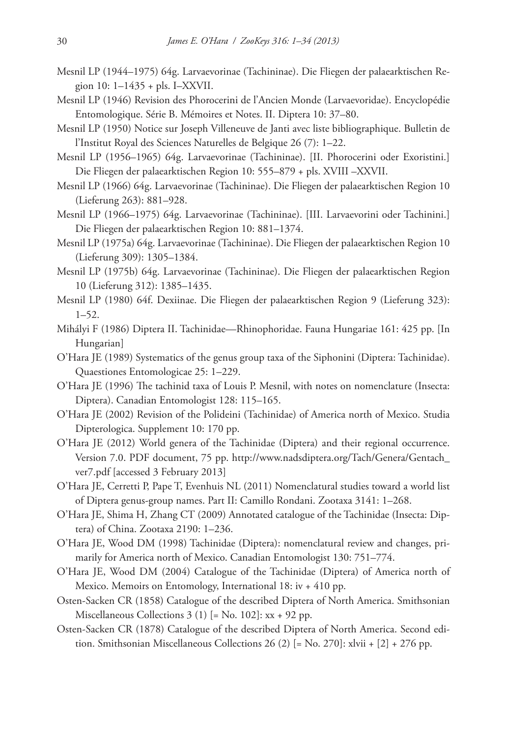- Mesnil LP (1944–1975) 64g. Larvaevorinae (Tachininae). Die Fliegen der palaearktischen Region 10: 1–1435 + pls. I–XXVII.
- Mesnil LP (1946) Revision des Phorocerini de l'Ancien Monde (Larvaevoridae). Encyclopédie Entomologique. Série B. Mémoires et Notes. II. Diptera 10: 37–80.
- Mesnil LP (1950) Notice sur Joseph Villeneuve de Janti avec liste bibliographique. Bulletin de l'Institut Royal des Sciences Naturelles de Belgique 26 (7): 1–22.
- Mesnil LP (1956–1965) 64g. Larvaevorinae (Tachininae). [II. Phorocerini oder Exoristini.] Die Fliegen der palaearktischen Region 10: 555–879 + pls. XVIII –XXVII.
- Mesnil LP (1966) 64g. Larvaevorinae (Tachininae). Die Fliegen der palaearktischen Region 10 (Lieferung 263): 881–928.
- Mesnil LP (1966–1975) 64g. Larvaevorinae (Tachininae). [III. Larvaevorini oder Tachinini.] Die Fliegen der palaearktischen Region 10: 881–1374.
- Mesnil LP (1975a) 64g. Larvaevorinae (Tachininae). Die Fliegen der palaearktischen Region 10 (Lieferung 309): 1305–1384.
- Mesnil LP (1975b) 64g. Larvaevorinae (Tachininae). Die Fliegen der palaearktischen Region 10 (Lieferung 312): 1385–1435.
- Mesnil LP (1980) 64f. Dexiinae. Die Fliegen der palaearktischen Region 9 (Lieferung 323): 1–52.
- Mihályi F (1986) Diptera II. Tachinidae—Rhinophoridae. Fauna Hungariae 161: 425 pp. [In Hungarian]
- O'Hara JE (1989) Systematics of the genus group taxa of the Siphonini (Diptera: Tachinidae). Quaestiones Entomologicae 25: 1–229.
- O'Hara JE (1996) The tachinid taxa of Louis P. Mesnil, with notes on nomenclature (Insecta: Diptera). Canadian Entomologist 128: 115–165.
- O'Hara JE (2002) Revision of the Polideini (Tachinidae) of America north of Mexico. Studia Dipterologica. Supplement 10: 170 pp.
- O'Hara JE (2012) World genera of the Tachinidae (Diptera) and their regional occurrence. Version 7.0. PDF document, 75 pp. [http://www.nadsdiptera.org/Tach/Genera/Gentach\\_](http://www.nadsdiptera.org/Tach/Genera/Gentach_ver7.pdf) [ver7.pdf](http://www.nadsdiptera.org/Tach/Genera/Gentach_ver7.pdf) [accessed 3 February 2013]
- O'Hara JE, Cerretti P, Pape T, Evenhuis NL (2011) Nomenclatural studies toward a world list of Diptera genus-group names. Part II: Camillo Rondani. Zootaxa 3141: 1–268.
- O'Hara JE, Shima H, Zhang CT (2009) Annotated catalogue of the Tachinidae (Insecta: Diptera) of China. Zootaxa 2190: 1–236.
- O'Hara JE, Wood DM (1998) Tachinidae (Diptera): nomenclatural review and changes, primarily for America north of Mexico. Canadian Entomologist 130: 751–774.
- O'Hara JE, Wood DM (2004) Catalogue of the Tachinidae (Diptera) of America north of Mexico. Memoirs on Entomology, International 18: iv + 410 pp.
- Osten-Sacken CR (1858) Catalogue of the described Diptera of North America. Smithsonian Miscellaneous Collections 3 (1) [= No. 102]: xx + 92 pp.
- Osten-Sacken CR (1878) Catalogue of the described Diptera of North America. Second edition. Smithsonian Miscellaneous Collections 26 (2) [= No. 270]: xlvii + [2] + 276 pp.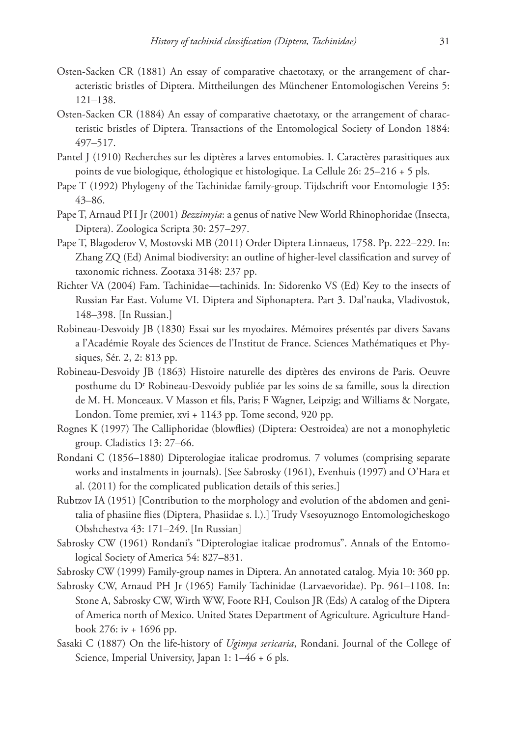- Osten-Sacken CR (1881) An essay of comparative chaetotaxy, or the arrangement of characteristic bristles of Diptera. Mittheilungen des Münchener Entomologischen Vereins 5: 121–138.
- Osten-Sacken CR (1884) An essay of comparative chaetotaxy, or the arrangement of characteristic bristles of Diptera. Transactions of the Entomological Society of London 1884: 497–517.
- Pantel J (1910) Recherches sur les diptères a larves entomobies. I. Caractères parasitiques aux points de vue biologique, éthologique et histologique. La Cellule 26: 25–216 + 5 pls.
- Pape T (1992) Phylogeny of the Tachinidae family-group. Tijdschrift voor Entomologie 135: 43–86.
- Pape T, Arnaud PH Jr (2001) *Bezzimyia*: a genus of native New World Rhinophoridae (Insecta, Diptera). Zoologica Scripta 30: 257–297.
- Pape T, Blagoderov V, Mostovski MB (2011) Order Diptera Linnaeus, 1758. Pp. 222–229. In: Zhang ZQ (Ed) Animal biodiversity: an outline of higher-level classification and survey of taxonomic richness. Zootaxa 3148: 237 pp.
- Richter VA (2004) Fam. Tachinidae—tachinids. In: Sidorenko VS (Ed) Key to the insects of Russian Far East. Volume VI. Diptera and Siphonaptera. Part 3. Dal'nauka, Vladivostok, 148–398. [In Russian.]
- Robineau-Desvoidy JB (1830) Essai sur les myodaires. Mémoires présentés par divers Savans a l'Académie Royale des Sciences de l'Institut de France. Sciences Mathématiques et Physiques, Sér. 2, 2: 813 pp.
- Robineau-Desvoidy JB (1863) Histoire naturelle des diptères des environs de Paris. Oeuvre posthume du D<sup>r</sup> Robineau-Desvoidy publiée par les soins de sa famille, sous la direction de M. H. Monceaux. V Masson et fils, Paris; F Wagner, Leipzig; and Williams & Norgate, London. Tome premier, xvi + 1143 pp. Tome second, 920 pp.
- Rognes K (1997) The Calliphoridae (blowflies) (Diptera: Oestroidea) are not a monophyletic group. Cladistics 13: 27–66.
- Rondani C (1856–1880) Dipterologiae italicae prodromus. 7 volumes (comprising separate works and instalments in journals). [See Sabrosky (1961), Evenhuis (1997) and O'Hara et al. (2011) for the complicated publication details of this series.]
- Rubtzov IA (1951) [Contribution to the morphology and evolution of the abdomen and genitalia of phasiine flies (Diptera, Phasiidae s. l.).] Trudy Vsesoyuznogo Entomologicheskogo Obshchestva 43: 171–249. [In Russian]
- Sabrosky CW (1961) Rondani's "Dipterologiae italicae prodromus". Annals of the Entomological Society of America 54: 827–831.
- Sabrosky CW (1999) Family-group names in Diptera. An annotated catalog. Myia 10: 360 pp.
- Sabrosky CW, Arnaud PH Jr (1965) Family Tachinidae (Larvaevoridae). Pp. 961–1108. In: Stone A, Sabrosky CW, Wirth WW, Foote RH, Coulson JR (Eds) A catalog of the Diptera of America north of Mexico. United States Department of Agriculture. Agriculture Handbook 276: iv + 1696 pp.
- Sasaki C (1887) On the life-history of *Ugimya sericaria*, Rondani. Journal of the College of Science, Imperial University, Japan 1: 1–46 + 6 pls.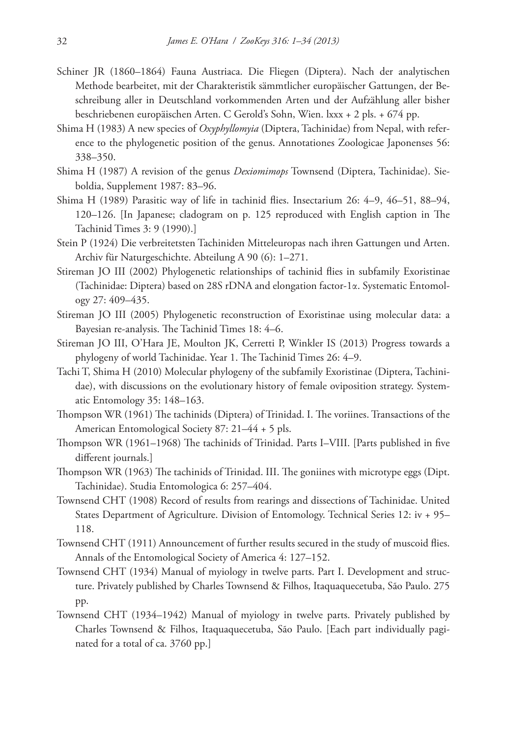- Schiner JR (1860–1864) Fauna Austriaca. Die Fliegen (Diptera). Nach der analytischen Methode bearbeitet, mit der Charakteristik sämmtlicher europäischer Gattungen, der Beschreibung aller in Deutschland vorkommenden Arten und der Aufzählung aller bisher beschriebenen europäischen Arten. C Gerold's Sohn, Wien. lxxx + 2 pls. + 674 pp.
- Shima H (1983) A new species of *Oxyphyllomyia* (Diptera, Tachinidae) from Nepal, with reference to the phylogenetic position of the genus. Annotationes Zoologicae Japonenses 56: 338–350.
- Shima H (1987) A revision of the genus *Dexiomimops* Townsend (Diptera, Tachinidae). Sieboldia, Supplement 1987: 83–96.
- Shima H (1989) Parasitic way of life in tachinid flies. Insectarium 26: 4–9, 46–51, 88–94, 120–126. [In Japanese; cladogram on p. 125 reproduced with English caption in The Tachinid Times 3: 9 (1990).]
- Stein P (1924) Die verbreitetsten Tachiniden Mitteleuropas nach ihren Gattungen und Arten. Archiv für Naturgeschichte. Abteilung A 90 (6): 1–271.
- Stireman JO III (2002) Phylogenetic relationships of tachinid flies in subfamily Exoristinae (Tachinidae: Diptera) based on 28S rDNA and elongation factor-1α. Systematic Entomology 27: 409–435.
- Stireman JO III (2005) Phylogenetic reconstruction of Exoristinae using molecular data: a Bayesian re-analysis. The Tachinid Times 18: 4–6.
- Stireman JO III, O'Hara JE, Moulton JK, Cerretti P, Winkler IS (2013) Progress towards a phylogeny of world Tachinidae. Year 1. The Tachinid Times 26: 4–9.
- Tachi T, Shima H (2010) Molecular phylogeny of the subfamily Exoristinae (Diptera, Tachinidae), with discussions on the evolutionary history of female oviposition strategy. Systematic Entomology 35: 148–163.
- Thompson WR (1961) The tachinids (Diptera) of Trinidad. I. The voriines. Transactions of the American Entomological Society 87: 21–44 + 5 pls.
- Thompson WR (1961–1968) The tachinids of Trinidad. Parts I–VIII. [Parts published in five different journals.]
- Thompson WR (1963) The tachinids of Trinidad. III. The goniines with microtype eggs (Dipt. Tachinidae). Studia Entomologica 6: 257–404.
- Townsend CHT (1908) Record of results from rearings and dissections of Tachinidae. United States Department of Agriculture. Division of Entomology. Technical Series 12: iv + 95– 118.
- Townsend CHT (1911) Announcement of further results secured in the study of muscoid flies. Annals of the Entomological Society of America 4: 127–152.
- Townsend CHT (1934) Manual of myiology in twelve parts. Part I. Development and structure. Privately published by Charles Townsend & Filhos, Itaquaquecetuba, São Paulo. 275 pp.
- Townsend CHT (1934–1942) Manual of myiology in twelve parts. Privately published by Charles Townsend & Filhos, Itaquaquecetuba, São Paulo. [Each part individually paginated for a total of ca. 3760 pp.]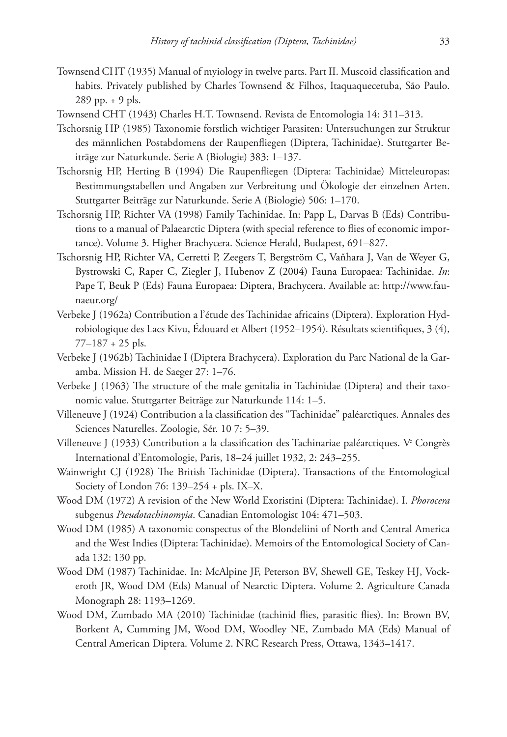- Townsend CHT (1935) Manual of myiology in twelve parts. Part II. Muscoid classification and habits. Privately published by Charles Townsend & Filhos, Itaquaquecetuba, São Paulo. 289 pp. + 9 pls.
- Townsend CHT (1943) Charles H.T. Townsend. Revista de Entomologia 14: 311–313.
- Tschorsnig HP (1985) Taxonomie forstlich wichtiger Parasiten: Untersuchungen zur Struktur des männlichen Postabdomens der Raupenfliegen (Diptera, Tachinidae). Stuttgarter Beiträge zur Naturkunde. Serie A (Biologie) 383: 1–137.
- Tschorsnig HP, Herting B (1994) Die Raupenfliegen (Diptera: Tachinidae) Mitteleuropas: Bestimmungstabellen und Angaben zur Verbreitung und Ökologie der einzelnen Arten. Stuttgarter Beiträge zur Naturkunde. Serie A (Biologie) 506: 1–170.
- Tschorsnig HP, Richter VA (1998) Family Tachinidae. In: Papp L, Darvas B (Eds) Contributions to a manual of Palaearctic Diptera (with special reference to flies of economic importance). Volume 3. Higher Brachycera. Science Herald, Budapest, 691–827.
- Tschorsnig HP, Richter VA, Cerretti P, Zeegers T, Bergström C, Vaňhara J, Van de Weyer G, Bystrowski C, Raper C, Ziegler J, Hubenov Z (2004) Fauna Europaea: Tachinidae. *In*: Pape T, Beuk P (Eds) Fauna Europaea: Diptera, Brachycera. Available at: [http://www.fau](http://www.faunaeur.org)[naeur.org/](http://www.faunaeur.org)
- Verbeke J (1962a) Contribution a l'étude des Tachinidae africains (Diptera). Exploration Hydrobiologique des Lacs Kivu, Édouard et Albert (1952–1954). Résultats scientifiques, 3 (4),  $77-187 + 25$  pls.
- Verbeke J (1962b) Tachinidae I (Diptera Brachycera). Exploration du Parc National de la Garamba. Mission H. de Saeger 27: 1–76.
- Verbeke J (1963) The structure of the male genitalia in Tachinidae (Diptera) and their taxonomic value. Stuttgarter Beiträge zur Naturkunde 114: 1–5.
- Villeneuve J (1924) Contribution a la classification des "Tachinidae" paléarctiques. Annales des Sciences Naturelles. Zoologie, Sér. 10 7: 5–39.
- Villeneuve J (1933) Contribution a la classification des Tachinariae paléarctiques. V<sup>e</sup> Congrès International d'Entomologie, Paris, 18–24 juillet 1932, 2: 243–255.
- Wainwright CJ (1928) The British Tachinidae (Diptera). Transactions of the Entomological Society of London 76: 139–254 + pls. IX–X.
- Wood DM (1972) A revision of the New World Exoristini (Diptera: Tachinidae). I. *Phorocera* subgenus *Pseudotachinomyia*. Canadian Entomologist 104: 471–503.
- Wood DM (1985) A taxonomic conspectus of the Blondeliini of North and Central America and the West Indies (Diptera: Tachinidae). Memoirs of the Entomological Society of Canada 132: 130 pp.
- Wood DM (1987) Tachinidae. In: McAlpine JF, Peterson BV, Shewell GE, Teskey HJ, Vockeroth JR, Wood DM (Eds) Manual of Nearctic Diptera. Volume 2. Agriculture Canada Monograph 28: 1193–1269.
- Wood DM, Zumbado MA (2010) Tachinidae (tachinid flies, parasitic flies). In: Brown BV, Borkent A, Cumming JM, Wood DM, Woodley NE, Zumbado MA (Eds) Manual of Central American Diptera. Volume 2. NRC Research Press, Ottawa, 1343–1417.